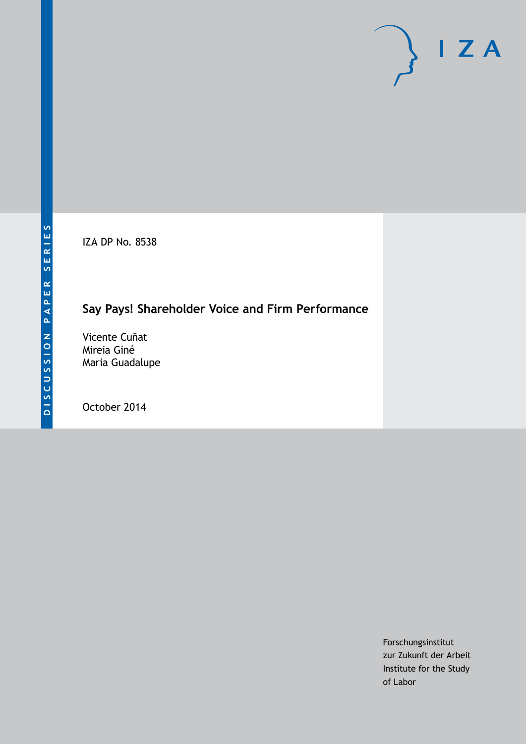IZA DP No. 8538

# **Say Pays! Shareholder Voice and Firm Performance**

Vicente Cuñat Mireia Giné Maria Guadalupe

October 2014

Forschungsinstitut zur Zukunft der Arbeit Institute for the Study of Labor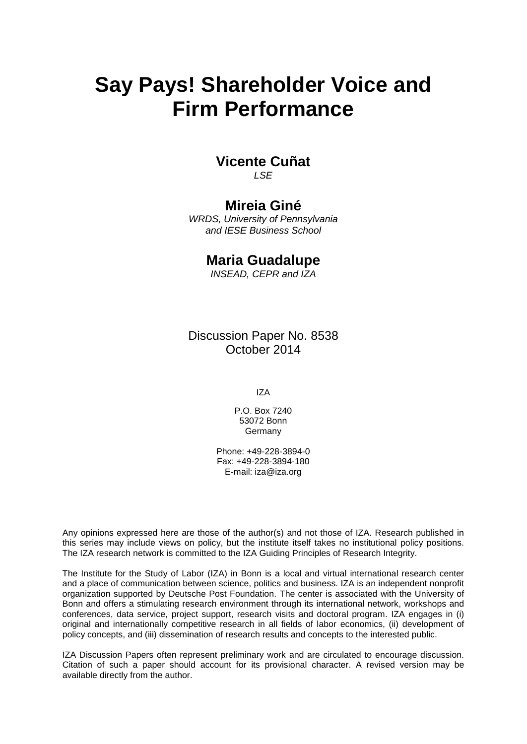# **Say Pays! Shareholder Voice and Firm Performance**

# **Vicente Cuñat** *LSE*

# **Mireia Giné**

*WRDS, University of Pennsylvania and IESE Business School*

# **Maria Guadalupe**

*INSEAD, CEPR and IZA*

Discussion Paper No. 8538 October 2014

IZA

P.O. Box 7240 53072 Bonn Germany

Phone: +49-228-3894-0 Fax: +49-228-3894-180 E-mail: [iza@iza.org](mailto:iza@iza.org)

Any opinions expressed here are those of the author(s) and not those of IZA. Research published in this series may include views on policy, but the institute itself takes no institutional policy positions. The IZA research network is committed to the IZA Guiding Principles of Research Integrity.

The Institute for the Study of Labor (IZA) in Bonn is a local and virtual international research center and a place of communication between science, politics and business. IZA is an independent nonprofit organization supported by Deutsche Post Foundation. The center is associated with the University of Bonn and offers a stimulating research environment through its international network, workshops and conferences, data service, project support, research visits and doctoral program. IZA engages in (i) original and internationally competitive research in all fields of labor economics, (ii) development of policy concepts, and (iii) dissemination of research results and concepts to the interested public.

<span id="page-1-0"></span>IZA Discussion Papers often represent preliminary work and are circulated to encourage discussion. Citation of such a paper should account for its provisional character. A revised version may be available directly from the author.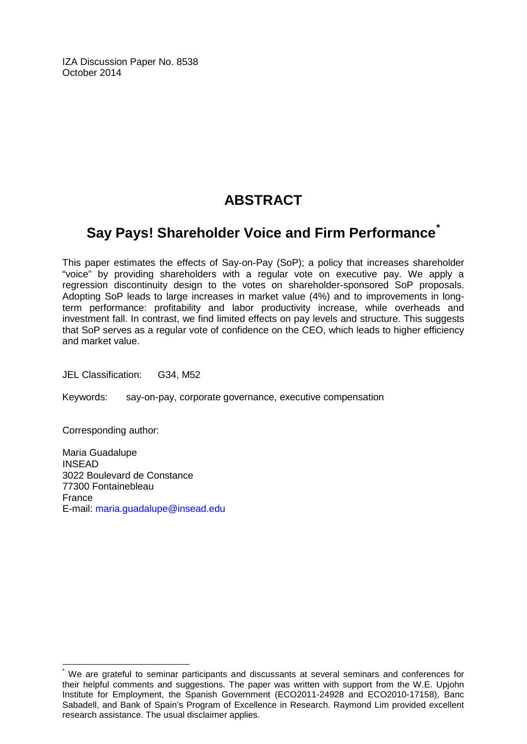IZA Discussion Paper No. 8538 October 2014

# **ABSTRACT**

# **Say Pays! Shareholder Voice and Firm Performance[\\*](#page-1-0)**

This paper estimates the effects of Say-on-Pay (SoP); a policy that increases shareholder "voice" by providing shareholders with a regular vote on executive pay. We apply a regression discontinuity design to the votes on shareholder-sponsored SoP proposals. Adopting SoP leads to large increases in market value (4%) and to improvements in longterm performance: profitability and labor productivity increase, while overheads and investment fall. In contrast, we find limited effects on pay levels and structure. This suggests that SoP serves as a regular vote of confidence on the CEO, which leads to higher efficiency and market value.

JEL Classification: G34, M52

Keywords: say-on-pay, corporate governance, executive compensation

Corresponding author:

Maria Guadalupe INSEAD 3022 Boulevard de Constance 77300 Fontainebleau France E-mail: [maria.guadalupe@insead.edu](mailto:maria.guadalupe@insead.edu)

We are grateful to seminar participants and discussants at several seminars and conferences for their helpful comments and suggestions. The paper was written with support from the W.E. Upjohn Institute for Employment, the Spanish Government (ECO2011-24928 and ECO2010-17158), Banc Sabadell, and Bank of Spain's Program of Excellence in Research. Raymond Lim provided excellent research assistance. The usual disclaimer applies.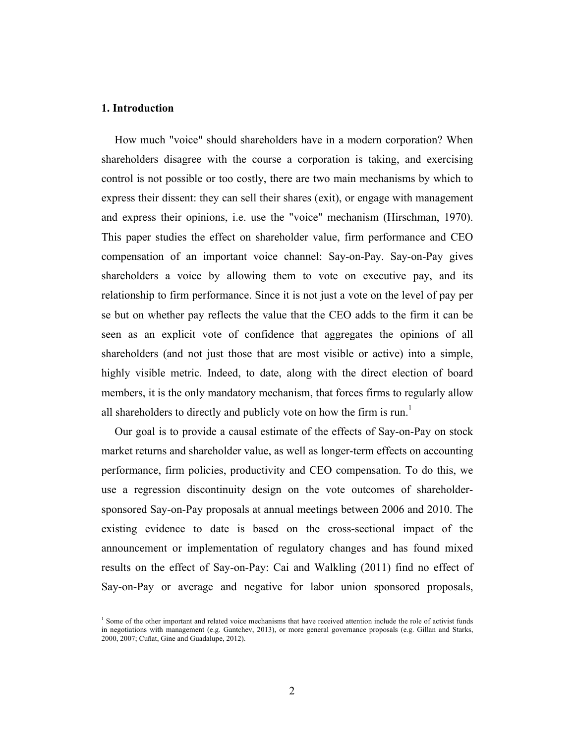# **1. Introduction**

How much "voice" should shareholders have in a modern corporation? When shareholders disagree with the course a corporation is taking, and exercising control is not possible or too costly, there are two main mechanisms by which to express their dissent: they can sell their shares (exit), or engage with management and express their opinions, i.e. use the "voice" mechanism (Hirschman, 1970). This paper studies the effect on shareholder value, firm performance and CEO compensation of an important voice channel: Say-on-Pay. Say-on-Pay gives shareholders a voice by allowing them to vote on executive pay, and its relationship to firm performance. Since it is not just a vote on the level of pay per se but on whether pay reflects the value that the CEO adds to the firm it can be seen as an explicit vote of confidence that aggregates the opinions of all shareholders (and not just those that are most visible or active) into a simple, highly visible metric. Indeed, to date, along with the direct election of board members, it is the only mandatory mechanism, that forces firms to regularly allow all shareholders to directly and publicly vote on how the firm is run.<sup>1</sup>

Our goal is to provide a causal estimate of the effects of Say-on-Pay on stock market returns and shareholder value, as well as longer-term effects on accounting performance, firm policies, productivity and CEO compensation. To do this, we use a regression discontinuity design on the vote outcomes of shareholdersponsored Say-on-Pay proposals at annual meetings between 2006 and 2010. The existing evidence to date is based on the cross-sectional impact of the announcement or implementation of regulatory changes and has found mixed results on the effect of Say-on-Pay: Cai and Walkling (2011) find no effect of Say-on-Pay or average and negative for labor union sponsored proposals,

<sup>&</sup>lt;sup>1</sup> Some of the other important and related voice mechanisms that have received attention include the role of activist funds in negotiations with management (e.g. Gantchev, 2013), or more general governance proposals (e.g. Gillan and Starks, 2000, 2007; Cuñat, Gine and Guadalupe, 2012).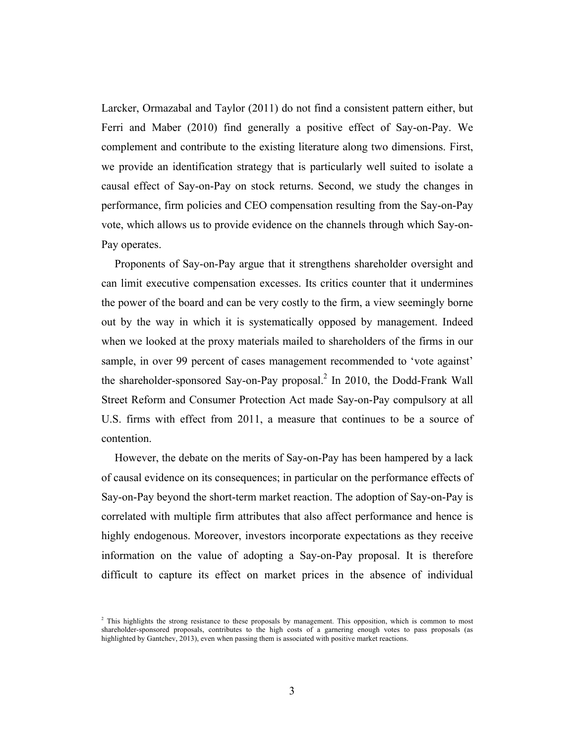Larcker, Ormazabal and Taylor (2011) do not find a consistent pattern either, but Ferri and Maber (2010) find generally a positive effect of Say-on-Pay. We complement and contribute to the existing literature along two dimensions. First, we provide an identification strategy that is particularly well suited to isolate a causal effect of Say-on-Pay on stock returns. Second, we study the changes in performance, firm policies and CEO compensation resulting from the Say-on-Pay vote, which allows us to provide evidence on the channels through which Say-on-Pay operates.

Proponents of Say-on-Pay argue that it strengthens shareholder oversight and can limit executive compensation excesses. Its critics counter that it undermines the power of the board and can be very costly to the firm, a view seemingly borne out by the way in which it is systematically opposed by management. Indeed when we looked at the proxy materials mailed to shareholders of the firms in our sample, in over 99 percent of cases management recommended to 'vote against' the shareholder-sponsored Say-on-Pay proposal. <sup>2</sup> In 2010, the Dodd-Frank Wall Street Reform and Consumer Protection Act made Say-on-Pay compulsory at all U.S. firms with effect from 2011, a measure that continues to be a source of contention.

However, the debate on the merits of Say-on-Pay has been hampered by a lack of causal evidence on its consequences; in particular on the performance effects of Say-on-Pay beyond the short-term market reaction. The adoption of Say-on-Pay is correlated with multiple firm attributes that also affect performance and hence is highly endogenous. Moreover, investors incorporate expectations as they receive information on the value of adopting a Say-on-Pay proposal. It is therefore difficult to capture its effect on market prices in the absence of individual

<sup>&</sup>lt;sup>2</sup> This highlights the strong resistance to these proposals by management. This opposition, which is common to most shareholder-sponsored proposals, contributes to the high costs of a garnering enough votes to pass proposals (as highlighted by Gantchev, 2013), even when passing them is associated with positive market reactions.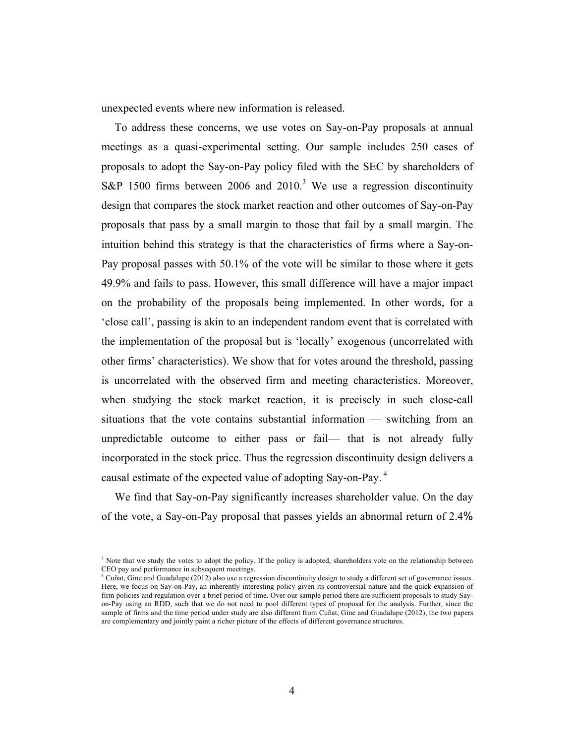unexpected events where new information is released.

To address these concerns, we use votes on Say-on-Pay proposals at annual meetings as a quasi-experimental setting. Our sample includes 250 cases of proposals to adopt the Say-on-Pay policy filed with the SEC by shareholders of S&P 1500 firms between 2006 and 2010.<sup>3</sup> We use a regression discontinuity design that compares the stock market reaction and other outcomes of Say-on-Pay proposals that pass by a small margin to those that fail by a small margin. The intuition behind this strategy is that the characteristics of firms where a Say-on-Pay proposal passes with 50.1% of the vote will be similar to those where it gets 49.9% and fails to pass. However, this small difference will have a major impact on the probability of the proposals being implemented. In other words, for a 'close call', passing is akin to an independent random event that is correlated with the implementation of the proposal but is 'locally' exogenous (uncorrelated with other firms' characteristics). We show that for votes around the threshold, passing is uncorrelated with the observed firm and meeting characteristics. Moreover, when studying the stock market reaction, it is precisely in such close-call situations that the vote contains substantial information — switching from an unpredictable outcome to either pass or fail— that is not already fully incorporated in the stock price. Thus the regression discontinuity design delivers a causal estimate of the expected value of adopting Say-on-Pay. <sup>4</sup>

We find that Say-on-Pay significantly increases shareholder value. On the day of the vote, a Say-on-Pay proposal that passes yields an abnormal return of 2.4%

 $3$  Note that we study the votes to adopt the policy. If the policy is adopted, shareholders vote on the relationship between CEO pay and performance in subsequent meetings.

 $4 \text{ Cuñat}$ , Gine and Guadalupe (2012) also use a regression discontinuity design to study a different set of governance issues. Here, we focus on Say-on-Pay, an inherently interesting policy given its controversial nature and the quick expansion of firm policies and regulation over a brief period of time. Over our sample period there are sufficient proposals to study Sayon-Pay using an RDD, such that we do not need to pool different types of proposal for the analysis. Further, since the sample of firms and the time period under study are also different from Cuñat, Gine and Guadalupe (2012), the two papers are complementary and jointly paint a richer picture of the effects of different governance structures.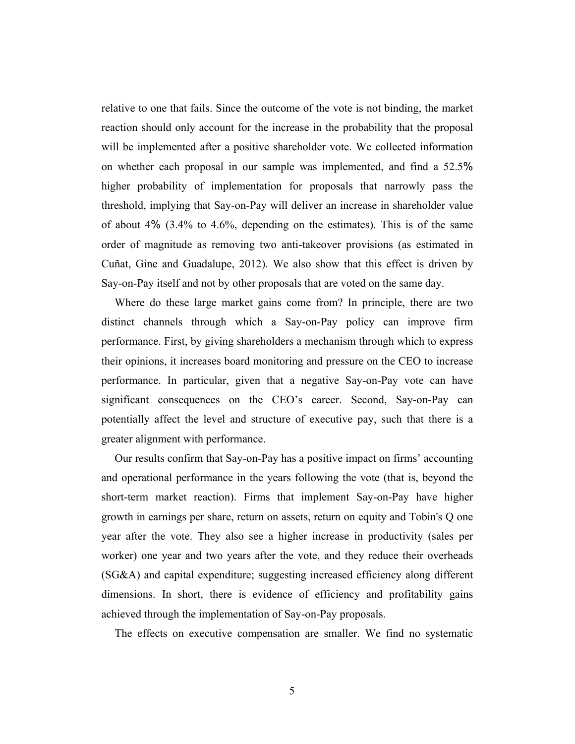relative to one that fails. Since the outcome of the vote is not binding, the market reaction should only account for the increase in the probability that the proposal will be implemented after a positive shareholder vote. We collected information on whether each proposal in our sample was implemented, and find a 52.5% higher probability of implementation for proposals that narrowly pass the threshold, implying that Say-on-Pay will deliver an increase in shareholder value of about 4% (3.4% to 4.6%, depending on the estimates). This is of the same order of magnitude as removing two anti-takeover provisions (as estimated in Cuñat, Gine and Guadalupe, 2012). We also show that this effect is driven by Say-on-Pay itself and not by other proposals that are voted on the same day.

Where do these large market gains come from? In principle, there are two distinct channels through which a Say-on-Pay policy can improve firm performance. First, by giving shareholders a mechanism through which to express their opinions, it increases board monitoring and pressure on the CEO to increase performance. In particular, given that a negative Say-on-Pay vote can have significant consequences on the CEO's career. Second, Say-on-Pay can potentially affect the level and structure of executive pay, such that there is a greater alignment with performance.

Our results confirm that Say-on-Pay has a positive impact on firms' accounting and operational performance in the years following the vote (that is, beyond the short-term market reaction). Firms that implement Say-on-Pay have higher growth in earnings per share, return on assets, return on equity and Tobin's Q one year after the vote. They also see a higher increase in productivity (sales per worker) one year and two years after the vote, and they reduce their overheads (SG&A) and capital expenditure; suggesting increased efficiency along different dimensions. In short, there is evidence of efficiency and profitability gains achieved through the implementation of Say-on-Pay proposals.

The effects on executive compensation are smaller. We find no systematic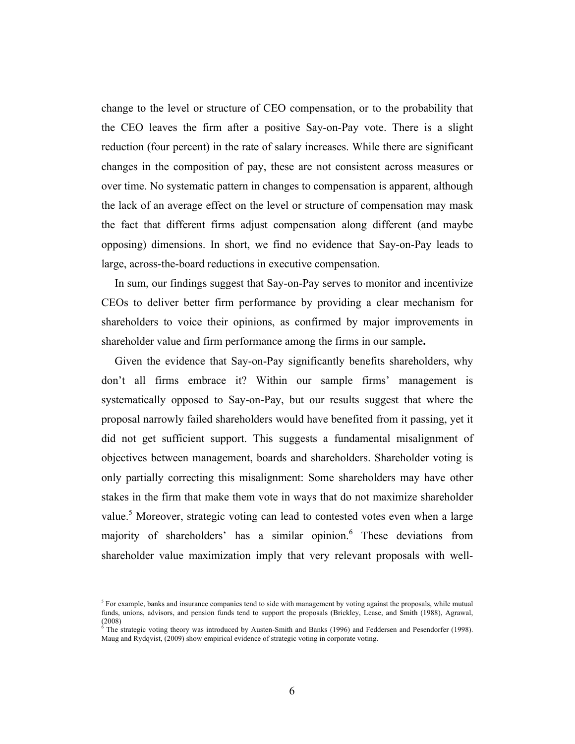change to the level or structure of CEO compensation, or to the probability that the CEO leaves the firm after a positive Say-on-Pay vote. There is a slight reduction (four percent) in the rate of salary increases. While there are significant changes in the composition of pay, these are not consistent across measures or over time. No systematic pattern in changes to compensation is apparent, although the lack of an average effect on the level or structure of compensation may mask the fact that different firms adjust compensation along different (and maybe opposing) dimensions. In short, we find no evidence that Say-on-Pay leads to large, across-the-board reductions in executive compensation.

In sum, our findings suggest that Say-on-Pay serves to monitor and incentivize CEOs to deliver better firm performance by providing a clear mechanism for shareholders to voice their opinions, as confirmed by major improvements in shareholder value and firm performance among the firms in our sample**.**

Given the evidence that Say-on-Pay significantly benefits shareholders, why don't all firms embrace it? Within our sample firms' management is systematically opposed to Say-on-Pay, but our results suggest that where the proposal narrowly failed shareholders would have benefited from it passing, yet it did not get sufficient support. This suggests a fundamental misalignment of objectives between management, boards and shareholders. Shareholder voting is only partially correcting this misalignment: Some shareholders may have other stakes in the firm that make them vote in ways that do not maximize shareholder value.<sup>5</sup> Moreover, strategic voting can lead to contested votes even when a large majority of shareholders' has a similar opinion.<sup>6</sup> These deviations from shareholder value maximization imply that very relevant proposals with well-

 $<sup>5</sup>$  For example, banks and insurance companies tend to side with management by voting against the proposals, while mutual</sup> funds, unions, advisors, and pension funds tend to support the proposals (Brickley, Lease, and Smith (1988), Agrawal, (2008)

<sup>6</sup> The strategic voting theory was introduced by Austen-Smith and Banks (1996) and Feddersen and Pesendorfer (1998). Maug and Rydqvist, (2009) show empirical evidence of strategic voting in corporate voting.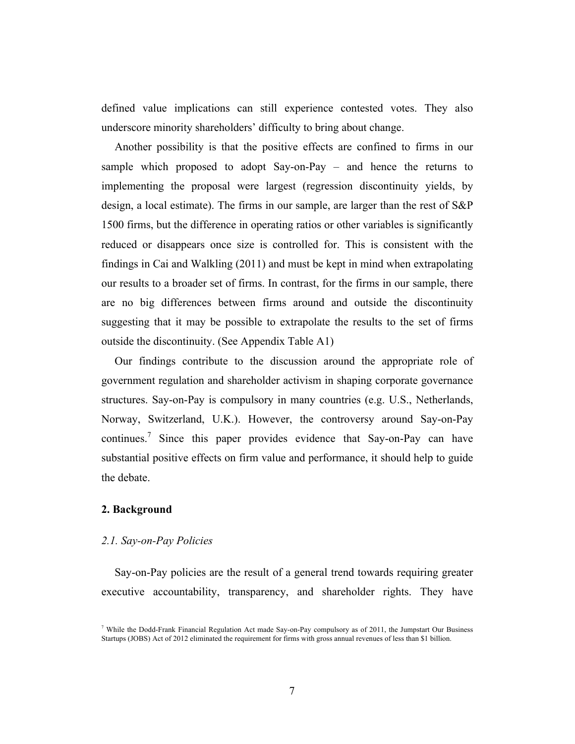defined value implications can still experience contested votes. They also underscore minority shareholders' difficulty to bring about change.

Another possibility is that the positive effects are confined to firms in our sample which proposed to adopt Say-on-Pay – and hence the returns to implementing the proposal were largest (regression discontinuity yields, by design, a local estimate). The firms in our sample, are larger than the rest of S&P 1500 firms, but the difference in operating ratios or other variables is significantly reduced or disappears once size is controlled for. This is consistent with the findings in Cai and Walkling (2011) and must be kept in mind when extrapolating our results to a broader set of firms. In contrast, for the firms in our sample, there are no big differences between firms around and outside the discontinuity suggesting that it may be possible to extrapolate the results to the set of firms outside the discontinuity. (See Appendix Table A1)

Our findings contribute to the discussion around the appropriate role of government regulation and shareholder activism in shaping corporate governance structures. Say-on-Pay is compulsory in many countries (e.g. U.S., Netherlands, Norway, Switzerland, U.K.). However, the controversy around Say-on-Pay continues. <sup>7</sup> Since this paper provides evidence that Say-on-Pay can have substantial positive effects on firm value and performance, it should help to guide the debate.

# **2. Background**

#### *2.1. Say-on-Pay Policies*

Say-on-Pay policies are the result of a general trend towards requiring greater executive accountability, transparency, and shareholder rights. They have

<sup>&</sup>lt;sup>7</sup> While the Dodd-Frank Financial Regulation Act made Say-on-Pay compulsory as of 2011, the Jumpstart Our Business Startups (JOBS) Act of 2012 eliminated the requirement for firms with gross annual revenues of less than \$1 billion.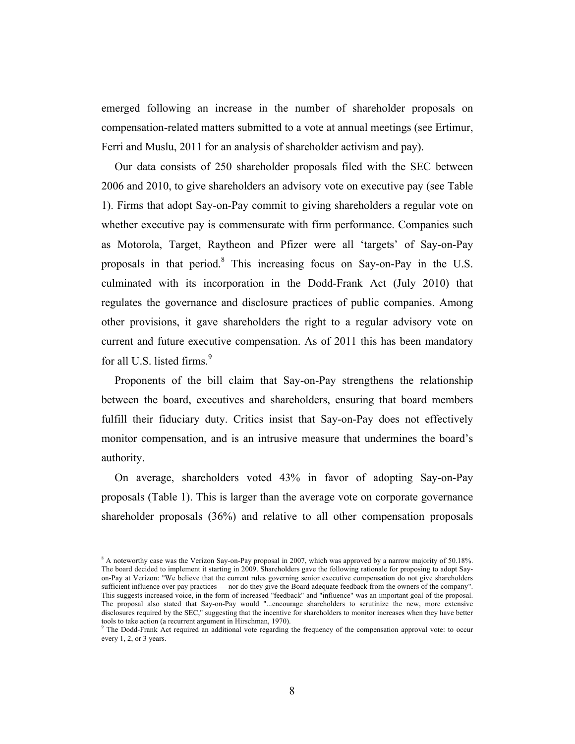emerged following an increase in the number of shareholder proposals on compensation-related matters submitted to a vote at annual meetings (see Ertimur, Ferri and Muslu, 2011 for an analysis of shareholder activism and pay).

Our data consists of 250 shareholder proposals filed with the SEC between 2006 and 2010, to give shareholders an advisory vote on executive pay (see Table 1). Firms that adopt Say-on-Pay commit to giving shareholders a regular vote on whether executive pay is commensurate with firm performance. Companies such as Motorola, Target, Raytheon and Pfizer were all 'targets' of Say-on-Pay proposals in that period.8 This increasing focus on Say-on-Pay in the U.S. culminated with its incorporation in the Dodd-Frank Act (July 2010) that regulates the governance and disclosure practices of public companies. Among other provisions, it gave shareholders the right to a regular advisory vote on current and future executive compensation. As of 2011 this has been mandatory for all U.S. listed firms.<sup>9</sup>

Proponents of the bill claim that Say-on-Pay strengthens the relationship between the board, executives and shareholders, ensuring that board members fulfill their fiduciary duty. Critics insist that Say-on-Pay does not effectively monitor compensation, and is an intrusive measure that undermines the board's authority.

On average, shareholders voted 43% in favor of adopting Say-on-Pay proposals (Table 1). This is larger than the average vote on corporate governance shareholder proposals (36%) and relative to all other compensation proposals

 $8$  A noteworthy case was the Verizon Say-on-Pay proposal in 2007, which was approved by a narrow majority of 50.18%. The board decided to implement it starting in 2009. Shareholders gave the following rationale for proposing to adopt Sayon-Pay at Verizon: "We believe that the current rules governing senior executive compensation do not give shareholders sufficient influence over pay practices — nor do they give the Board adequate feedback from the owners of the company". This suggests increased voice, in the form of increased "feedback" and "influence" was an important goal of the proposal. The proposal also stated that Say-on-Pay would "...encourage shareholders to scrutinize the new, more extensive disclosures required by the SEC," suggesting that the incentive for shareholders to monitor increases when they have better tools to take action (a recurrent argument in Hirschman, 1970).

<sup>&</sup>lt;sup>9</sup> The Dodd-Frank Act required an additional vote regarding the frequency of the compensation approval vote: to occur every 1, 2, or 3 years.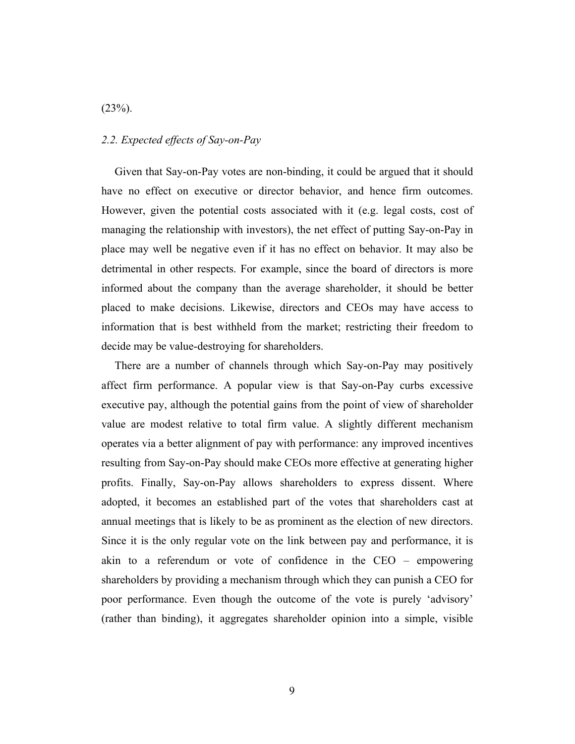# $(23%)$ .

# *2.2. Expected effects of Say-on-Pay*

Given that Say-on-Pay votes are non-binding, it could be argued that it should have no effect on executive or director behavior, and hence firm outcomes. However, given the potential costs associated with it (e.g. legal costs, cost of managing the relationship with investors), the net effect of putting Say-on-Pay in place may well be negative even if it has no effect on behavior. It may also be detrimental in other respects. For example, since the board of directors is more informed about the company than the average shareholder, it should be better placed to make decisions. Likewise, directors and CEOs may have access to information that is best withheld from the market; restricting their freedom to decide may be value-destroying for shareholders.

There are a number of channels through which Say-on-Pay may positively affect firm performance. A popular view is that Say-on-Pay curbs excessive executive pay, although the potential gains from the point of view of shareholder value are modest relative to total firm value. A slightly different mechanism operates via a better alignment of pay with performance: any improved incentives resulting from Say-on-Pay should make CEOs more effective at generating higher profits. Finally, Say-on-Pay allows shareholders to express dissent. Where adopted, it becomes an established part of the votes that shareholders cast at annual meetings that is likely to be as prominent as the election of new directors. Since it is the only regular vote on the link between pay and performance, it is akin to a referendum or vote of confidence in the CEO – empowering shareholders by providing a mechanism through which they can punish a CEO for poor performance. Even though the outcome of the vote is purely 'advisory' (rather than binding), it aggregates shareholder opinion into a simple, visible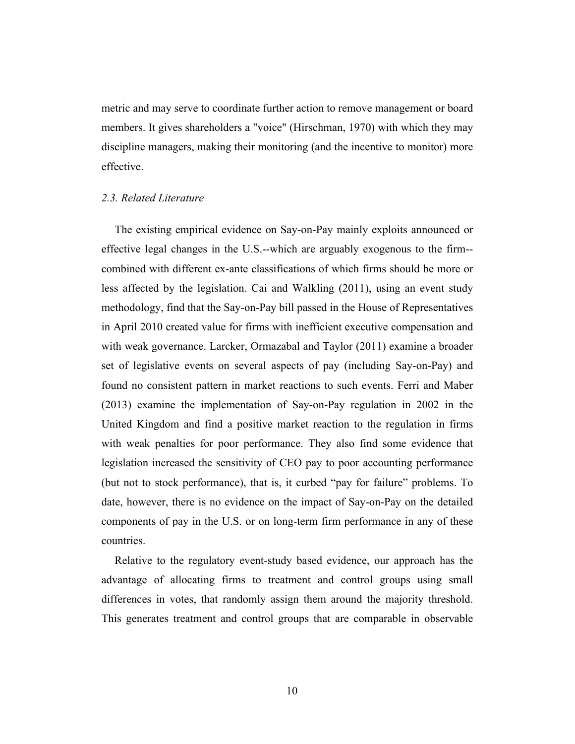metric and may serve to coordinate further action to remove management or board members. It gives shareholders a "voice" (Hirschman, 1970) with which they may discipline managers, making their monitoring (and the incentive to monitor) more effective.

### *2.3. Related Literature*

The existing empirical evidence on Say-on-Pay mainly exploits announced or effective legal changes in the U.S.--which are arguably exogenous to the firm- combined with different ex-ante classifications of which firms should be more or less affected by the legislation. Cai and Walkling (2011), using an event study methodology, find that the Say-on-Pay bill passed in the House of Representatives in April 2010 created value for firms with inefficient executive compensation and with weak governance. Larcker, Ormazabal and Taylor (2011) examine a broader set of legislative events on several aspects of pay (including Say-on-Pay) and found no consistent pattern in market reactions to such events. Ferri and Maber (2013) examine the implementation of Say-on-Pay regulation in 2002 in the United Kingdom and find a positive market reaction to the regulation in firms with weak penalties for poor performance. They also find some evidence that legislation increased the sensitivity of CEO pay to poor accounting performance (but not to stock performance), that is, it curbed "pay for failure" problems. To date, however, there is no evidence on the impact of Say-on-Pay on the detailed components of pay in the U.S. or on long-term firm performance in any of these countries.

Relative to the regulatory event-study based evidence, our approach has the advantage of allocating firms to treatment and control groups using small differences in votes, that randomly assign them around the majority threshold. This generates treatment and control groups that are comparable in observable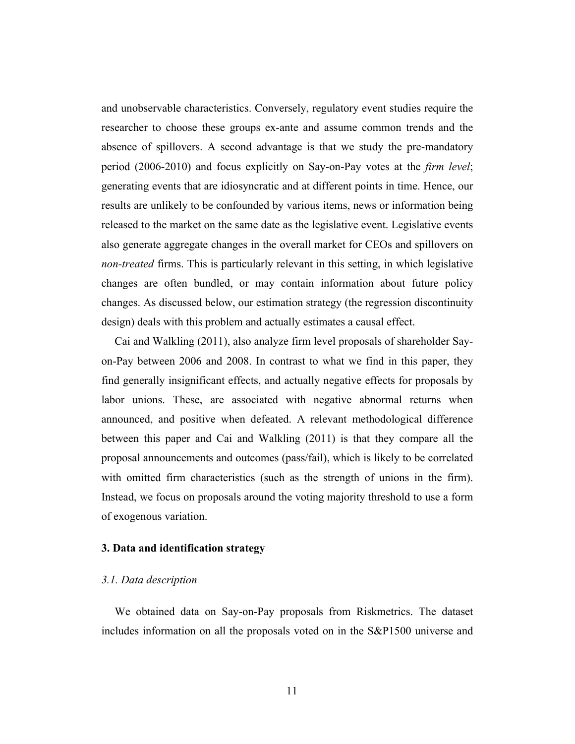and unobservable characteristics. Conversely, regulatory event studies require the researcher to choose these groups ex-ante and assume common trends and the absence of spillovers. A second advantage is that we study the pre-mandatory period (2006-2010) and focus explicitly on Say-on-Pay votes at the *firm level*; generating events that are idiosyncratic and at different points in time. Hence, our results are unlikely to be confounded by various items, news or information being released to the market on the same date as the legislative event. Legislative events also generate aggregate changes in the overall market for CEOs and spillovers on *non-treated* firms. This is particularly relevant in this setting, in which legislative changes are often bundled, or may contain information about future policy changes. As discussed below, our estimation strategy (the regression discontinuity design) deals with this problem and actually estimates a causal effect.

Cai and Walkling (2011), also analyze firm level proposals of shareholder Sayon-Pay between 2006 and 2008. In contrast to what we find in this paper, they find generally insignificant effects, and actually negative effects for proposals by labor unions. These, are associated with negative abnormal returns when announced, and positive when defeated. A relevant methodological difference between this paper and Cai and Walkling (2011) is that they compare all the proposal announcements and outcomes (pass/fail), which is likely to be correlated with omitted firm characteristics (such as the strength of unions in the firm). Instead, we focus on proposals around the voting majority threshold to use a form of exogenous variation.

### **3. Data and identification strategy**

#### *3.1. Data description*

We obtained data on Say-on-Pay proposals from Riskmetrics. The dataset includes information on all the proposals voted on in the S&P1500 universe and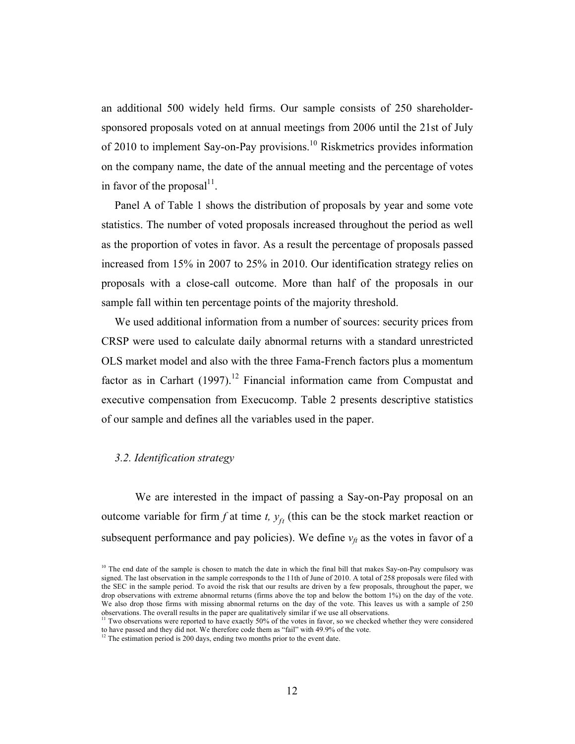an additional 500 widely held firms. Our sample consists of 250 shareholdersponsored proposals voted on at annual meetings from 2006 until the 21st of July of 2010 to implement Say-on-Pay provisions.<sup>10</sup> Riskmetrics provides information on the company name, the date of the annual meeting and the percentage of votes in favor of the proposal $1<sup>11</sup>$ .

Panel A of Table 1 shows the distribution of proposals by year and some vote statistics. The number of voted proposals increased throughout the period as well as the proportion of votes in favor. As a result the percentage of proposals passed increased from 15% in 2007 to 25% in 2010. Our identification strategy relies on proposals with a close-call outcome. More than half of the proposals in our sample fall within ten percentage points of the majority threshold.

We used additional information from a number of sources: security prices from CRSP were used to calculate daily abnormal returns with a standard unrestricted OLS market model and also with the three Fama-French factors plus a momentum factor as in Carhart  $(1997)$ .<sup>12</sup> Financial information came from Compustat and executive compensation from Execucomp. Table 2 presents descriptive statistics of our sample and defines all the variables used in the paper.

#### *3.2. Identification strategy*

We are interested in the impact of passing a Say-on-Pay proposal on an outcome variable for firm  $f$  at time  $t$ ,  $y_f$  (this can be the stock market reaction or subsequent performance and pay policies). We define  $v_f$  as the votes in favor of a

<sup>&</sup>lt;sup>10</sup> The end date of the sample is chosen to match the date in which the final bill that makes Say-on-Pay compulsory was signed. The last observation in the sample corresponds to the 11th of June of 2010. A total of 258 proposals were filed with the SEC in the sample period. To avoid the risk that our results are driven by a few proposals, throughout the paper, we drop observations with extreme abnormal returns (firms above the top and below the bottom 1%) on the day of the vote. We also drop those firms with missing abnormal returns on the day of the vote. This leaves us with a sample of 250 observations. The overall results in the paper are qualitatively similar if we use all observations.

 $11$  Two observations were reported to have exactly 50% of the votes in favor, so we checked whether they were considered to have passed and they did not. We therefore code them as "fail" with 49.9% of the vote.

 $12$  The estimation period is 200 days, ending two months prior to the event date.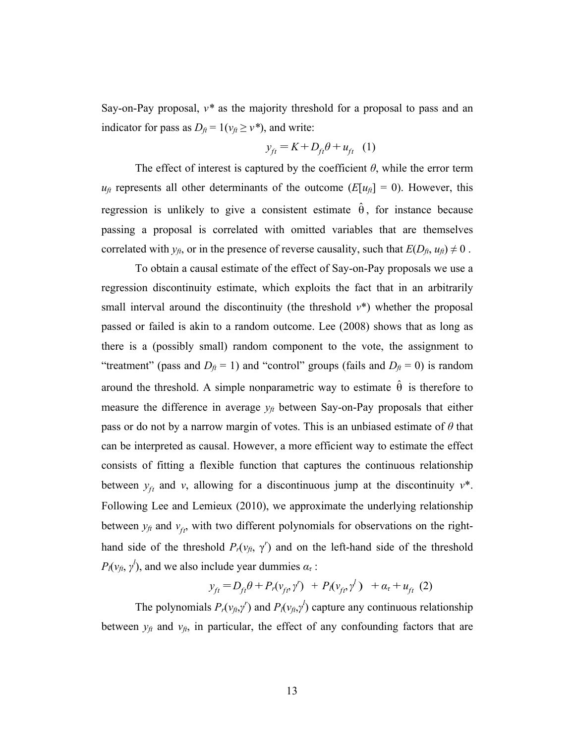Say-on-Pay proposal, *v\** as the majority threshold for a proposal to pass and an indicator for pass as  $D_f = 1(v_f \ge v^*)$ , and write:

$$
y_{ft} = K + D_{ft}\theta + u_{ft} \quad (1)
$$

The effect of interest is captured by the coefficient  $\theta$ , while the error term  $u_{\hat{H}}$  represents all other determinants of the outcome ( $E[u_{\hat{H}}] = 0$ ). However, this regression is unlikely to give a consistent estimate  $\hat{\theta}$ , for instance because passing a proposal is correlated with omitted variables that are themselves correlated with  $y_{\hat{n}}$ , or in the presence of reverse causality, such that  $E(D_{\hat{n}}, u_{\hat{n}}) \neq 0$ .

To obtain a causal estimate of the effect of Say-on-Pay proposals we use a regression discontinuity estimate, which exploits the fact that in an arbitrarily small interval around the discontinuity (the threshold *v*\*) whether the proposal passed or failed is akin to a random outcome. Lee (2008) shows that as long as there is a (possibly small) random component to the vote, the assignment to "treatment" (pass and  $D_f$  = 1) and "control" groups (fails and  $D_f$  = 0) is random around the threshold. A simple nonparametric way to estimate  $\hat{\theta}$  is therefore to measure the difference in average  $y_{\hat{H}}$  between Say-on-Pay proposals that either pass or do not by a narrow margin of votes. This is an unbiased estimate of *θ* that can be interpreted as causal. However, a more efficient way to estimate the effect consists of fitting a flexible function that captures the continuous relationship between  $y_f$  and *v*, allowing for a discontinuous jump at the discontinuity  $v^*$ . Following Lee and Lemieux (2010), we approximate the underlying relationship between  $y_f$  and  $v_f$ , with two different polynomials for observations on the righthand side of the threshold  $P_r(v_{\text{ft}}, \gamma')$  and on the left-hand side of the threshold  $P_l(\nu_{ft}, \gamma^l)$ , and we also include year dummies  $\alpha_{\tau}$ :

$$
y_{ft} = D_{ft}\theta + P_{r}(v_{ft}, \gamma') + P_{l}(v_{ft}, \gamma^{l}) + \alpha_{t} + u_{ft} (2)
$$

The polynomials  $P_r(v_{ft}, y')$  and  $P_l(v_{ft}, y')$  capture any continuous relationship between  $y_f$  and  $v_f$ , in particular, the effect of any confounding factors that are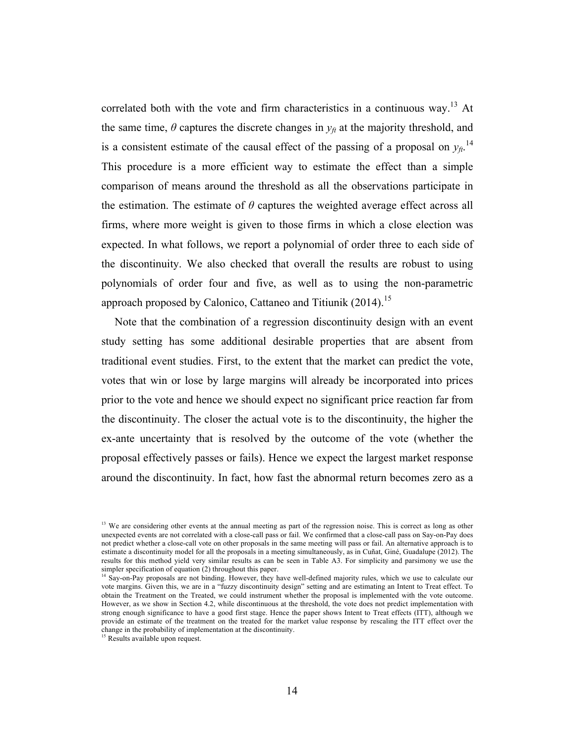correlated both with the vote and firm characteristics in a continuous way.<sup>13</sup> At the same time,  $\theta$  captures the discrete changes in  $y_{\theta}$  at the majority threshold, and is a consistent estimate of the causal effect of the passing of a proposal on  $y_{ft}$ .<sup>14</sup> This procedure is a more efficient way to estimate the effect than a simple comparison of means around the threshold as all the observations participate in the estimation. The estimate of *θ* captures the weighted average effect across all firms, where more weight is given to those firms in which a close election was expected. In what follows, we report a polynomial of order three to each side of the discontinuity. We also checked that overall the results are robust to using polynomials of order four and five, as well as to using the non-parametric approach proposed by Calonico, Cattaneo and Titiunik (2014).<sup>15</sup>

Note that the combination of a regression discontinuity design with an event study setting has some additional desirable properties that are absent from traditional event studies. First, to the extent that the market can predict the vote, votes that win or lose by large margins will already be incorporated into prices prior to the vote and hence we should expect no significant price reaction far from the discontinuity. The closer the actual vote is to the discontinuity, the higher the ex-ante uncertainty that is resolved by the outcome of the vote (whether the proposal effectively passes or fails). Hence we expect the largest market response around the discontinuity. In fact, how fast the abnormal return becomes zero as a

<sup>&</sup>lt;sup>13</sup> We are considering other events at the annual meeting as part of the regression noise. This is correct as long as other unexpected events are not correlated with a close-call pass or fail. We confirmed that a close-call pass on Say-on-Pay does not predict whether a close-call vote on other proposals in the same meeting will pass or fail. An alternative approach is to estimate a discontinuity model for all the proposals in a meeting simultaneously, as in Cuñat, Giné, Guadalupe (2012). The results for this method yield very similar results as can be seen in Table A3. For simplicity and parsimony we use the simpler specification of equation (2) throughout this paper.

<sup>&</sup>lt;sup>14</sup> Say-on-Pay proposals are not binding. However, they have well-defined majority rules, which we use to calculate our vote margins. Given this, we are in a "fuzzy discontinuity design" setting and are estimating an Intent to Treat effect. To obtain the Treatment on the Treated, we could instrument whether the proposal is implemented with the vote outcome. However, as we show in Section 4.2, while discontinuous at the threshold, the vote does not predict implementation with strong enough significance to have a good first stage. Hence the paper shows Intent to Treat effects (ITT), although we provide an estimate of the treatment on the treated for the market value response by rescaling the ITT effect over the change in the probability of implementation at the discontinuity.

<sup>&</sup>lt;sup>15</sup> Results available upon request.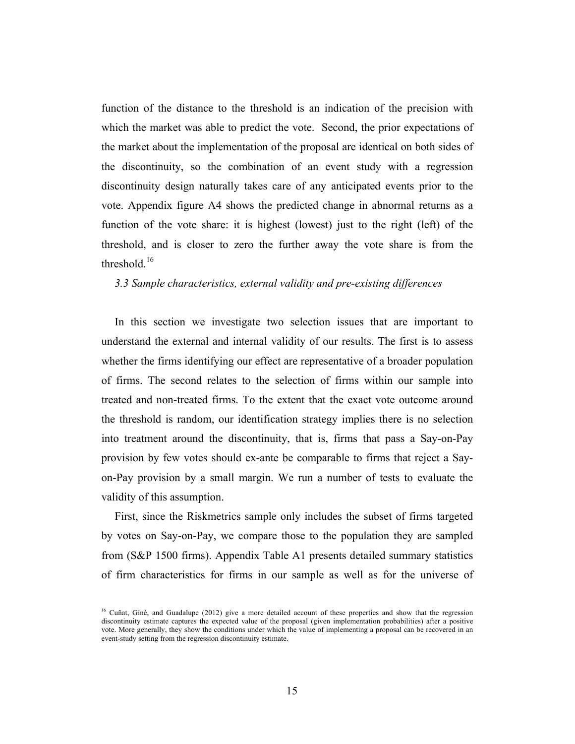function of the distance to the threshold is an indication of the precision with which the market was able to predict the vote. Second, the prior expectations of the market about the implementation of the proposal are identical on both sides of the discontinuity, so the combination of an event study with a regression discontinuity design naturally takes care of any anticipated events prior to the vote. Appendix figure A4 shows the predicted change in abnormal returns as a function of the vote share: it is highest (lowest) just to the right (left) of the threshold, and is closer to zero the further away the vote share is from the threshold.<sup>16</sup>

#### *3.3 Sample characteristics, external validity and pre-existing differences*

In this section we investigate two selection issues that are important to understand the external and internal validity of our results. The first is to assess whether the firms identifying our effect are representative of a broader population of firms. The second relates to the selection of firms within our sample into treated and non-treated firms. To the extent that the exact vote outcome around the threshold is random, our identification strategy implies there is no selection into treatment around the discontinuity, that is, firms that pass a Say-on-Pay provision by few votes should ex-ante be comparable to firms that reject a Sayon-Pay provision by a small margin. We run a number of tests to evaluate the validity of this assumption.

First, since the Riskmetrics sample only includes the subset of firms targeted by votes on Say-on-Pay, we compare those to the population they are sampled from (S&P 1500 firms). Appendix Table A1 presents detailed summary statistics of firm characteristics for firms in our sample as well as for the universe of

<sup>&</sup>lt;sup>16</sup> Cuñat, Giné, and Guadalupe (2012) give a more detailed account of these properties and show that the regression discontinuity estimate captures the expected value of the proposal (given implementation probabilities) after a positive vote. More generally, they show the conditions under which the value of implementing a proposal can be recovered in an event-study setting from the regression discontinuity estimate.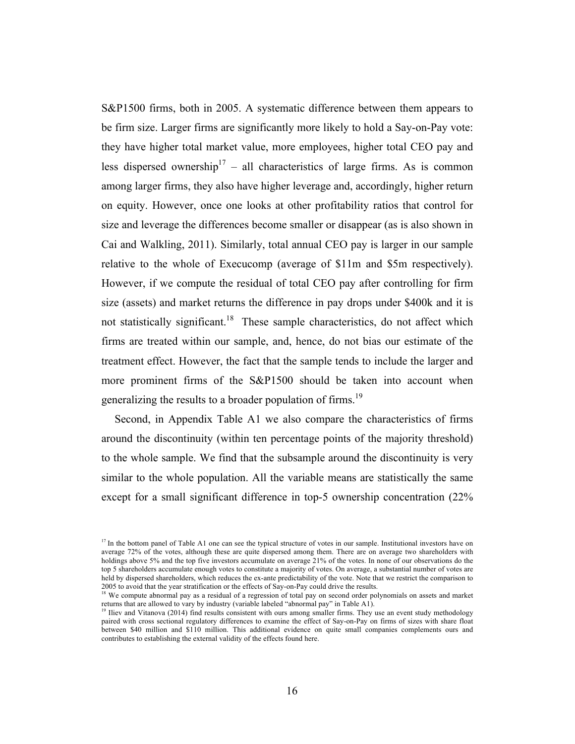S&P1500 firms, both in 2005. A systematic difference between them appears to be firm size. Larger firms are significantly more likely to hold a Say-on-Pay vote: they have higher total market value, more employees, higher total CEO pay and less dispersed ownership<sup>17</sup> – all characteristics of large firms. As is common among larger firms, they also have higher leverage and, accordingly, higher return on equity. However, once one looks at other profitability ratios that control for size and leverage the differences become smaller or disappear (as is also shown in Cai and Walkling, 2011). Similarly, total annual CEO pay is larger in our sample relative to the whole of Execucomp (average of \$11m and \$5m respectively). However, if we compute the residual of total CEO pay after controlling for firm size (assets) and market returns the difference in pay drops under \$400k and it is not statistically significant.<sup>18</sup> These sample characteristics, do not affect which firms are treated within our sample, and, hence, do not bias our estimate of the treatment effect. However, the fact that the sample tends to include the larger and more prominent firms of the S&P1500 should be taken into account when generalizing the results to a broader population of firms.<sup>19</sup>

Second, in Appendix Table A1 we also compare the characteristics of firms around the discontinuity (within ten percentage points of the majority threshold) to the whole sample. We find that the subsample around the discontinuity is very similar to the whole population. All the variable means are statistically the same except for a small significant difference in top-5 ownership concentration (22%

 $17$  In the bottom panel of Table A1 one can see the typical structure of votes in our sample. Institutional investors have on average 72% of the votes, although these are quite dispersed among them. There are on average two shareholders with holdings above 5% and the top five investors accumulate on average 21% of the votes. In none of our observations do the top 5 shareholders accumulate enough votes to constitute a majority of votes. On average, a substantial number of votes are held by dispersed shareholders, which reduces the ex-ante predictability of the vote. Note that we restrict the comparison to 2005 to avoid that the year stratification or the effects of Say-on-Pay could drive the results.

<sup>&</sup>lt;sup>18</sup> We compute abnormal pay as a residual of a regression of total pay on second order polynomials on assets and market returns that are allowed to vary by industry (variable labeled "abnormal pay" in Table A1).

<sup>&</sup>lt;sup>19</sup> Iliev and Vitanova (2014) find results consistent with ours among smaller firms. They use an event study methodology paired with cross sectional regulatory differences to examine the effect of Say-on-Pay on firms of sizes with share float between \$40 million and \$110 million. This additional evidence on quite small companies complements ours and contributes to establishing the external validity of the effects found here.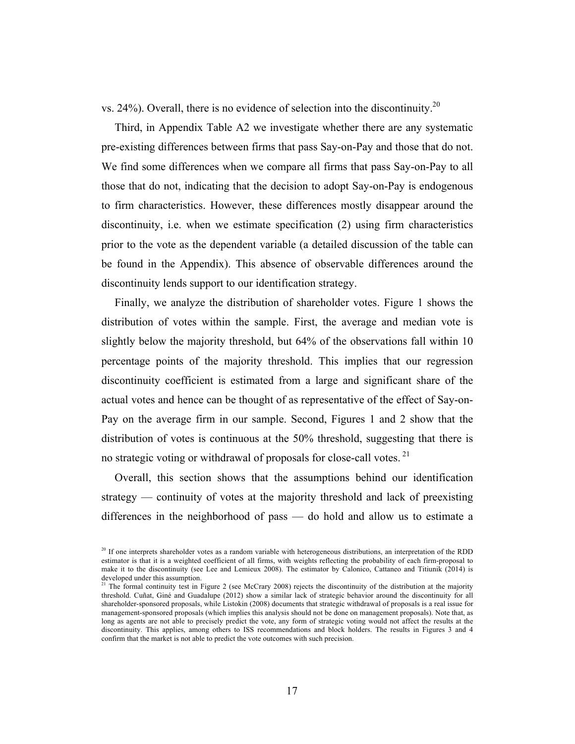vs. 24%). Overall, there is no evidence of selection into the discontinuity.20

Third, in Appendix Table A2 we investigate whether there are any systematic pre-existing differences between firms that pass Say-on-Pay and those that do not. We find some differences when we compare all firms that pass Say-on-Pay to all those that do not, indicating that the decision to adopt Say-on-Pay is endogenous to firm characteristics. However, these differences mostly disappear around the discontinuity, i.e. when we estimate specification (2) using firm characteristics prior to the vote as the dependent variable (a detailed discussion of the table can be found in the Appendix). This absence of observable differences around the discontinuity lends support to our identification strategy.

Finally, we analyze the distribution of shareholder votes. Figure 1 shows the distribution of votes within the sample. First, the average and median vote is slightly below the majority threshold, but 64% of the observations fall within 10 percentage points of the majority threshold. This implies that our regression discontinuity coefficient is estimated from a large and significant share of the actual votes and hence can be thought of as representative of the effect of Say-on-Pay on the average firm in our sample. Second, Figures 1 and 2 show that the distribution of votes is continuous at the 50% threshold, suggesting that there is no strategic voting or withdrawal of proposals for close-call votes.<sup>21</sup>

Overall, this section shows that the assumptions behind our identification strategy — continuity of votes at the majority threshold and lack of preexisting differences in the neighborhood of pass — do hold and allow us to estimate a

 $20$  If one interprets shareholder votes as a random variable with heterogeneous distributions, an interpretation of the RDD estimator is that it is a weighted coefficient of all firms, with weights reflecting the probability of each firm-proposal to make it to the discontinuity (see Lee and Lemieux 2008). The estimator by Calonico, Cattaneo and Titiunik (2014) is developed under this assumption.

<sup>&</sup>lt;sup>21</sup> The formal continuity test in Figure 2 (see McCrary 2008) rejects the discontinuity of the distribution at the majority threshold. Cuñat, Giné and Guadalupe (2012) show a similar lack of strategic behavior around the discontinuity for all shareholder-sponsored proposals, while Listokin (2008) documents that strategic withdrawal of proposals is a real issue for management-sponsored proposals (which implies this analysis should not be done on management proposals). Note that, as long as agents are not able to precisely predict the vote, any form of strategic voting would not affect the results at the discontinuity. This applies, among others to ISS recommendations and block holders. The results in Figures 3 and 4 confirm that the market is not able to predict the vote outcomes with such precision.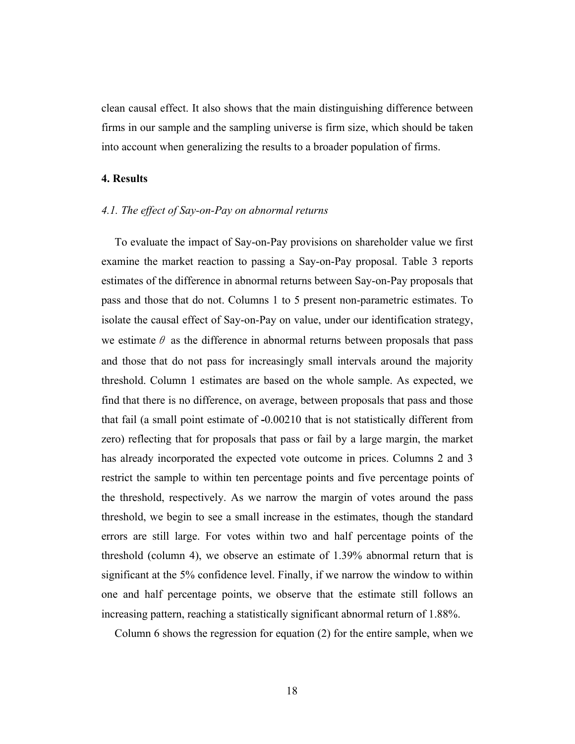clean causal effect. It also shows that the main distinguishing difference between firms in our sample and the sampling universe is firm size, which should be taken into account when generalizing the results to a broader population of firms.

#### **4. Results**

#### *4.1. The effect of Say-on-Pay on abnormal returns*

To evaluate the impact of Say-on-Pay provisions on shareholder value we first examine the market reaction to passing a Say-on-Pay proposal. Table 3 reports estimates of the difference in abnormal returns between Say-on-Pay proposals that pass and those that do not. Columns 1 to 5 present non-parametric estimates. To isolate the causal effect of Say-on-Pay on value, under our identification strategy, we estimate  $\theta$  as the difference in abnormal returns between proposals that pass and those that do not pass for increasingly small intervals around the majority threshold. Column 1 estimates are based on the whole sample. As expected, we find that there is no difference, on average, between proposals that pass and those that fail (a small point estimate of **-**0.00210 that is not statistically different from zero) reflecting that for proposals that pass or fail by a large margin, the market has already incorporated the expected vote outcome in prices. Columns 2 and 3 restrict the sample to within ten percentage points and five percentage points of the threshold, respectively. As we narrow the margin of votes around the pass threshold, we begin to see a small increase in the estimates, though the standard errors are still large. For votes within two and half percentage points of the threshold (column 4), we observe an estimate of 1.39% abnormal return that is significant at the 5% confidence level. Finally, if we narrow the window to within one and half percentage points, we observe that the estimate still follows an increasing pattern, reaching a statistically significant abnormal return of 1.88%.

Column 6 shows the regression for equation (2) for the entire sample, when we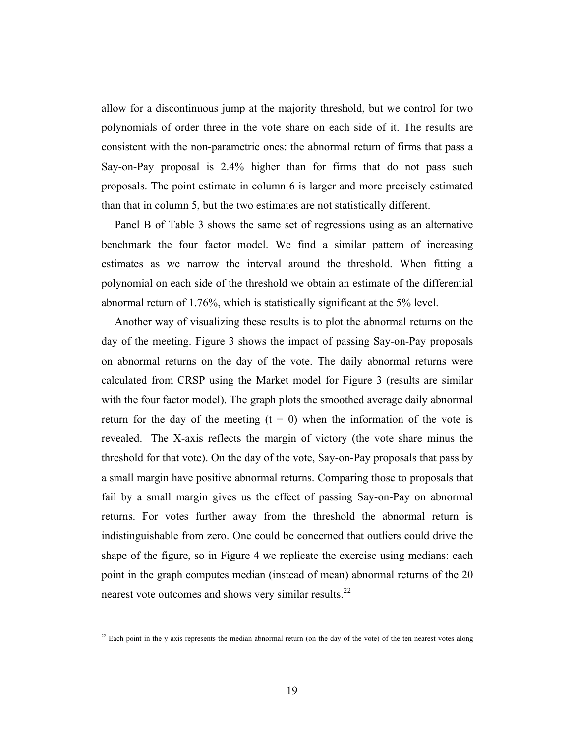allow for a discontinuous jump at the majority threshold, but we control for two polynomials of order three in the vote share on each side of it. The results are consistent with the non-parametric ones: the abnormal return of firms that pass a Say-on-Pay proposal is 2.4% higher than for firms that do not pass such proposals. The point estimate in column 6 is larger and more precisely estimated than that in column 5, but the two estimates are not statistically different.

Panel B of Table 3 shows the same set of regressions using as an alternative benchmark the four factor model. We find a similar pattern of increasing estimates as we narrow the interval around the threshold. When fitting a polynomial on each side of the threshold we obtain an estimate of the differential abnormal return of 1.76%, which is statistically significant at the 5% level.

Another way of visualizing these results is to plot the abnormal returns on the day of the meeting. Figure 3 shows the impact of passing Say-on-Pay proposals on abnormal returns on the day of the vote. The daily abnormal returns were calculated from CRSP using the Market model for Figure 3 (results are similar with the four factor model). The graph plots the smoothed average daily abnormal return for the day of the meeting  $(t = 0)$  when the information of the vote is revealed. The X-axis reflects the margin of victory (the vote share minus the threshold for that vote). On the day of the vote, Say-on-Pay proposals that pass by a small margin have positive abnormal returns. Comparing those to proposals that fail by a small margin gives us the effect of passing Say-on-Pay on abnormal returns. For votes further away from the threshold the abnormal return is indistinguishable from zero. One could be concerned that outliers could drive the shape of the figure, so in Figure 4 we replicate the exercise using medians: each point in the graph computes median (instead of mean) abnormal returns of the 20 nearest vote outcomes and shows very similar results. $^{22}$ 

 $22$  Each point in the y axis represents the median abnormal return (on the day of the vote) of the ten nearest votes along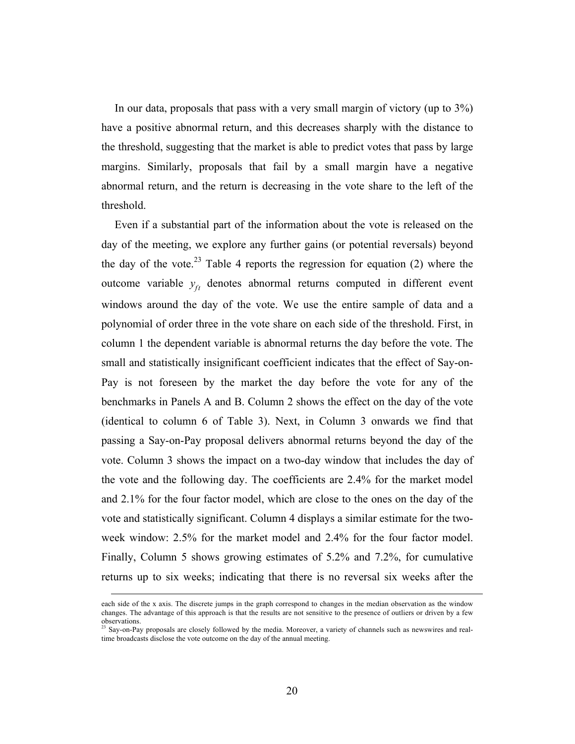In our data, proposals that pass with a very small margin of victory (up to 3%) have a positive abnormal return, and this decreases sharply with the distance to the threshold, suggesting that the market is able to predict votes that pass by large margins. Similarly, proposals that fail by a small margin have a negative abnormal return, and the return is decreasing in the vote share to the left of the threshold.

Even if a substantial part of the information about the vote is released on the day of the meeting, we explore any further gains (or potential reversals) beyond the day of the vote.<sup>23</sup> Table 4 reports the regression for equation (2) where the outcome variable  $y_t$  denotes abnormal returns computed in different event windows around the day of the vote. We use the entire sample of data and a polynomial of order three in the vote share on each side of the threshold. First, in column 1 the dependent variable is abnormal returns the day before the vote. The small and statistically insignificant coefficient indicates that the effect of Say-on-Pay is not foreseen by the market the day before the vote for any of the benchmarks in Panels A and B. Column 2 shows the effect on the day of the vote (identical to column 6 of Table 3). Next, in Column 3 onwards we find that passing a Say-on-Pay proposal delivers abnormal returns beyond the day of the vote. Column 3 shows the impact on a two-day window that includes the day of the vote and the following day. The coefficients are 2.4% for the market model and 2.1% for the four factor model, which are close to the ones on the day of the vote and statistically significant. Column 4 displays a similar estimate for the twoweek window: 2.5% for the market model and 2.4% for the four factor model. Finally, Column 5 shows growing estimates of 5.2% and 7.2%, for cumulative returns up to six weeks; indicating that there is no reversal six weeks after the

each side of the x axis. The discrete jumps in the graph correspond to changes in the median observation as the window changes. The advantage of this approach is that the results are not sensitive to the presence of outliers or driven by a few observations.

 $2<sup>23</sup>$  Say-on-Pay proposals are closely followed by the media. Moreover, a variety of channels such as newswires and realtime broadcasts disclose the vote outcome on the day of the annual meeting.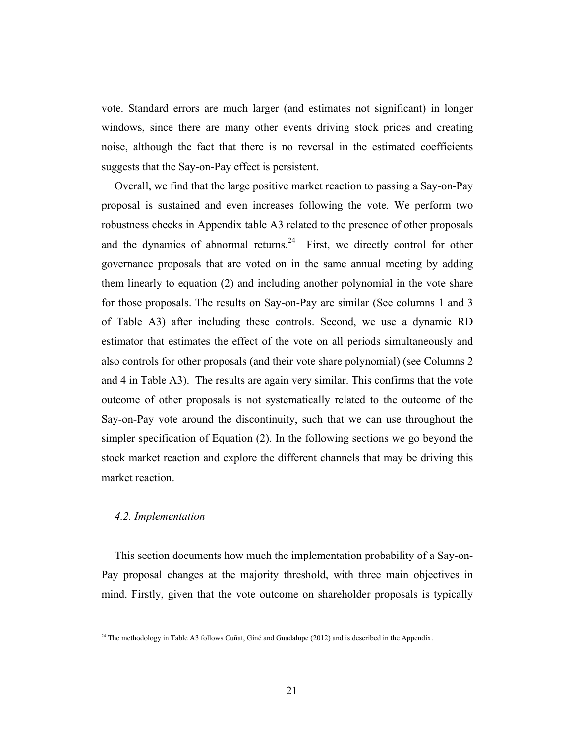vote. Standard errors are much larger (and estimates not significant) in longer windows, since there are many other events driving stock prices and creating noise, although the fact that there is no reversal in the estimated coefficients suggests that the Say-on-Pay effect is persistent.

Overall, we find that the large positive market reaction to passing a Say-on-Pay proposal is sustained and even increases following the vote. We perform two robustness checks in Appendix table A3 related to the presence of other proposals and the dynamics of abnormal returns.<sup>24</sup> First, we directly control for other governance proposals that are voted on in the same annual meeting by adding them linearly to equation (2) and including another polynomial in the vote share for those proposals. The results on Say-on-Pay are similar (See columns 1 and 3 of Table A3) after including these controls. Second, we use a dynamic RD estimator that estimates the effect of the vote on all periods simultaneously and also controls for other proposals (and their vote share polynomial) (see Columns 2 and 4 in Table A3). The results are again very similar. This confirms that the vote outcome of other proposals is not systematically related to the outcome of the Say-on-Pay vote around the discontinuity, such that we can use throughout the simpler specification of Equation (2). In the following sections we go beyond the stock market reaction and explore the different channels that may be driving this market reaction.

# *4.2. Implementation*

This section documents how much the implementation probability of a Say-on-Pay proposal changes at the majority threshold, with three main objectives in mind. Firstly, given that the vote outcome on shareholder proposals is typically

<sup>&</sup>lt;sup>24</sup> The methodology in Table A3 follows Cuñat, Giné and Guadalupe (2012) and is described in the Appendix.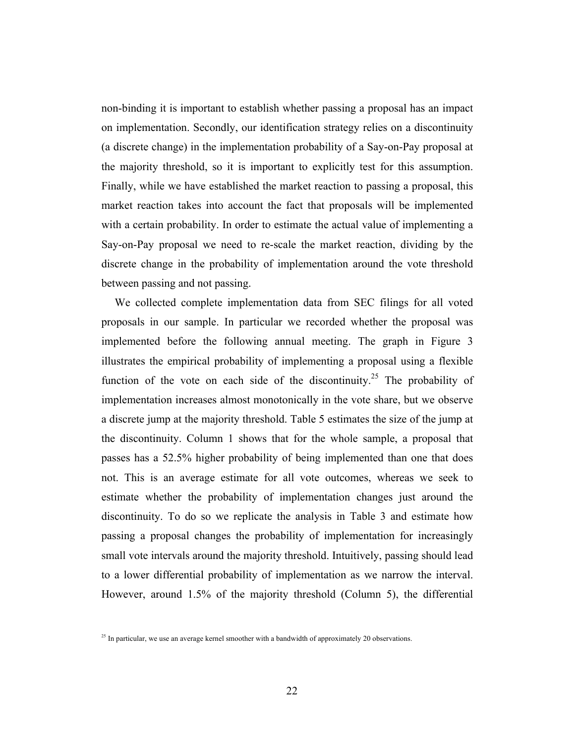non-binding it is important to establish whether passing a proposal has an impact on implementation. Secondly, our identification strategy relies on a discontinuity (a discrete change) in the implementation probability of a Say-on-Pay proposal at the majority threshold, so it is important to explicitly test for this assumption. Finally, while we have established the market reaction to passing a proposal, this market reaction takes into account the fact that proposals will be implemented with a certain probability. In order to estimate the actual value of implementing a Say-on-Pay proposal we need to re-scale the market reaction, dividing by the discrete change in the probability of implementation around the vote threshold between passing and not passing.

We collected complete implementation data from SEC filings for all voted proposals in our sample. In particular we recorded whether the proposal was implemented before the following annual meeting. The graph in Figure 3 illustrates the empirical probability of implementing a proposal using a flexible function of the vote on each side of the discontinuity.<sup>25</sup> The probability of implementation increases almost monotonically in the vote share, but we observe a discrete jump at the majority threshold. Table 5 estimates the size of the jump at the discontinuity. Column 1 shows that for the whole sample, a proposal that passes has a 52.5% higher probability of being implemented than one that does not. This is an average estimate for all vote outcomes, whereas we seek to estimate whether the probability of implementation changes just around the discontinuity. To do so we replicate the analysis in Table 3 and estimate how passing a proposal changes the probability of implementation for increasingly small vote intervals around the majority threshold. Intuitively, passing should lead to a lower differential probability of implementation as we narrow the interval. However, around 1.5% of the majority threshold (Column 5), the differential

 $^{25}$  In particular, we use an average kernel smoother with a bandwidth of approximately 20 observations.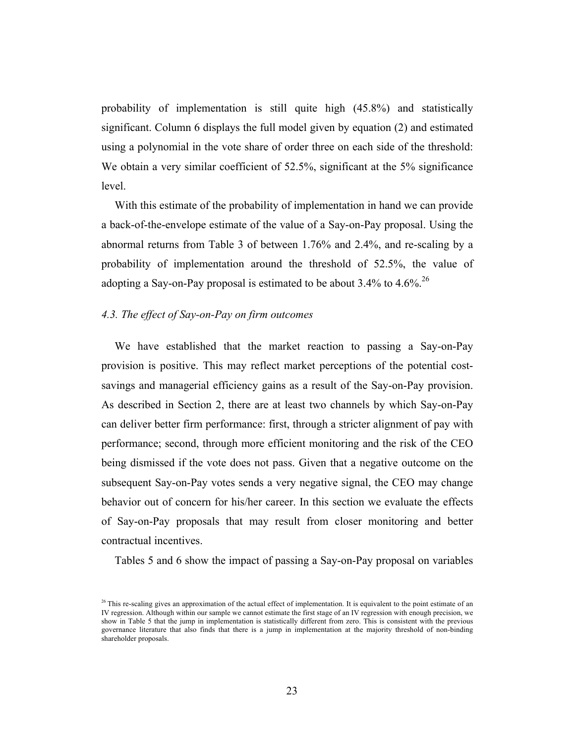probability of implementation is still quite high (45.8%) and statistically significant. Column 6 displays the full model given by equation (2) and estimated using a polynomial in the vote share of order three on each side of the threshold: We obtain a very similar coefficient of 52.5%, significant at the 5% significance level.

With this estimate of the probability of implementation in hand we can provide a back-of-the-envelope estimate of the value of a Say-on-Pay proposal. Using the abnormal returns from Table 3 of between 1.76% and 2.4%, and re-scaling by a probability of implementation around the threshold of 52.5%, the value of adopting a Say-on-Pay proposal is estimated to be about  $3.4\%$  to  $4.6\%$ <sup>26</sup>

# *4.3. The effect of Say-on-Pay on firm outcomes*

We have established that the market reaction to passing a Say-on-Pay provision is positive. This may reflect market perceptions of the potential costsavings and managerial efficiency gains as a result of the Say-on-Pay provision. As described in Section 2, there are at least two channels by which Say-on-Pay can deliver better firm performance: first, through a stricter alignment of pay with performance; second, through more efficient monitoring and the risk of the CEO being dismissed if the vote does not pass. Given that a negative outcome on the subsequent Say-on-Pay votes sends a very negative signal, the CEO may change behavior out of concern for his/her career. In this section we evaluate the effects of Say-on-Pay proposals that may result from closer monitoring and better contractual incentives.

Tables 5 and 6 show the impact of passing a Say-on-Pay proposal on variables

<sup>&</sup>lt;sup>26</sup> This re-scaling gives an approximation of the actual effect of implementation. It is equivalent to the point estimate of an IV regression. Although within our sample we cannot estimate the first stage of an IV regression with enough precision, we show in Table 5 that the jump in implementation is statistically different from zero. This is consistent with the previous governance literature that also finds that there is a jump in implementation at the majority threshold of non-binding shareholder proposals.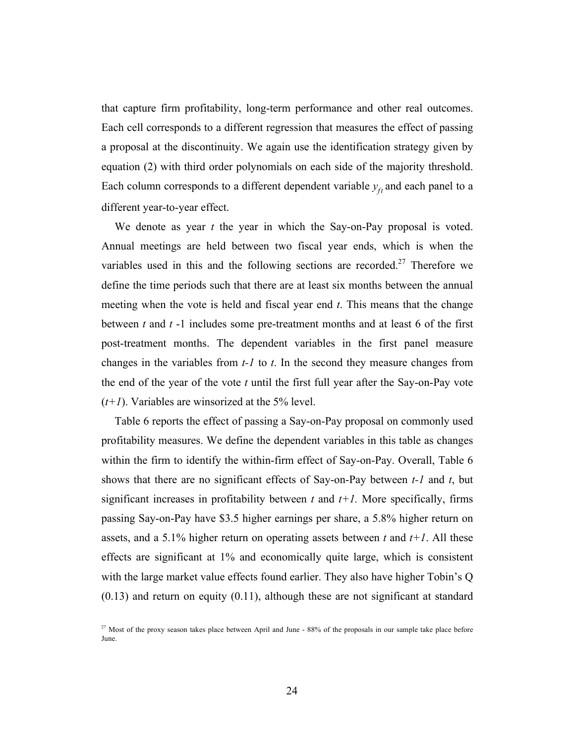that capture firm profitability, long-term performance and other real outcomes. Each cell corresponds to a different regression that measures the effect of passing a proposal at the discontinuity. We again use the identification strategy given by equation (2) with third order polynomials on each side of the majority threshold. Each column corresponds to a different dependent variable  $y_f$  and each panel to a different year-to-year effect.

We denote as year *t* the year in which the Say-on-Pay proposal is voted. Annual meetings are held between two fiscal year ends, which is when the variables used in this and the following sections are recorded.<sup>27</sup> Therefore we define the time periods such that there are at least six months between the annual meeting when the vote is held and fiscal year end *t*. This means that the change between *t* and *t* -1 includes some pre-treatment months and at least 6 of the first post-treatment months. The dependent variables in the first panel measure changes in the variables from *t-1* to *t*. In the second they measure changes from the end of the year of the vote *t* until the first full year after the Say-on-Pay vote  $(t+1)$ . Variables are winsorized at the 5% level.

Table 6 reports the effect of passing a Say-on-Pay proposal on commonly used profitability measures. We define the dependent variables in this table as changes within the firm to identify the within-firm effect of Say-on-Pay. Overall, Table 6 shows that there are no significant effects of Say-on-Pay between *t-1* and *t*, but significant increases in profitability between  $t$  and  $t+1$ . More specifically, firms passing Say-on-Pay have \$3.5 higher earnings per share, a 5.8% higher return on assets, and a 5.1% higher return on operating assets between *t* and *t+1*. All these effects are significant at 1% and economically quite large, which is consistent with the large market value effects found earlier. They also have higher Tobin's Q (0.13) and return on equity (0.11), although these are not significant at standard

 $27$  Most of the proxy season takes place between April and June - 88% of the proposals in our sample take place before June.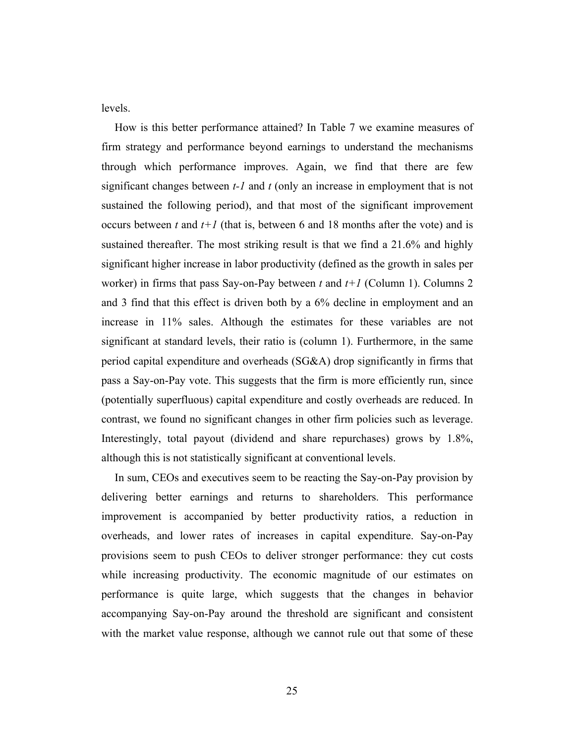levels.

How is this better performance attained? In Table 7 we examine measures of firm strategy and performance beyond earnings to understand the mechanisms through which performance improves. Again, we find that there are few significant changes between *t-1* and *t* (only an increase in employment that is not sustained the following period), and that most of the significant improvement occurs between *t* and *t+1* (that is, between 6 and 18 months after the vote) and is sustained thereafter. The most striking result is that we find a 21.6% and highly significant higher increase in labor productivity (defined as the growth in sales per worker) in firms that pass Say-on-Pay between *t* and *t+1* (Column 1). Columns 2 and 3 find that this effect is driven both by a 6% decline in employment and an increase in 11% sales. Although the estimates for these variables are not significant at standard levels, their ratio is (column 1). Furthermore, in the same period capital expenditure and overheads (SG&A) drop significantly in firms that pass a Say-on-Pay vote. This suggests that the firm is more efficiently run, since (potentially superfluous) capital expenditure and costly overheads are reduced. In contrast, we found no significant changes in other firm policies such as leverage. Interestingly, total payout (dividend and share repurchases) grows by 1.8%, although this is not statistically significant at conventional levels.

In sum, CEOs and executives seem to be reacting the Say-on-Pay provision by delivering better earnings and returns to shareholders. This performance improvement is accompanied by better productivity ratios, a reduction in overheads, and lower rates of increases in capital expenditure. Say-on-Pay provisions seem to push CEOs to deliver stronger performance: they cut costs while increasing productivity. The economic magnitude of our estimates on performance is quite large, which suggests that the changes in behavior accompanying Say-on-Pay around the threshold are significant and consistent with the market value response, although we cannot rule out that some of these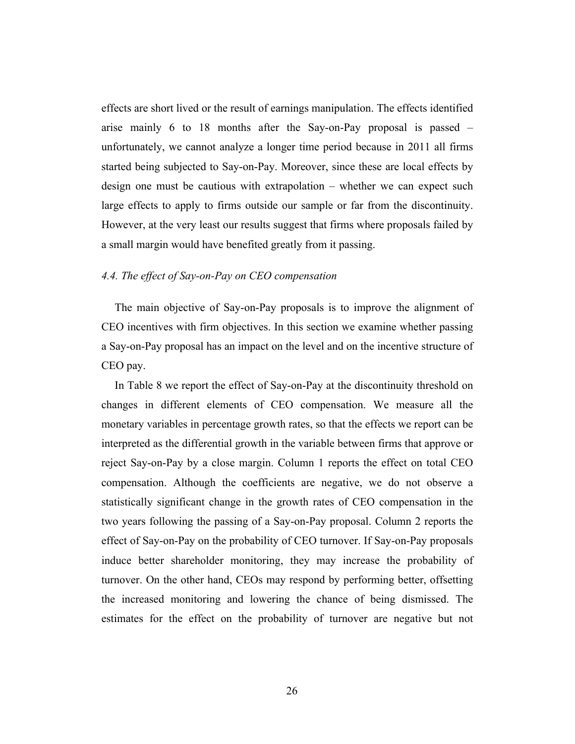effects are short lived or the result of earnings manipulation. The effects identified arise mainly 6 to 18 months after the Say-on-Pay proposal is passed – unfortunately, we cannot analyze a longer time period because in 2011 all firms started being subjected to Say-on-Pay. Moreover, since these are local effects by design one must be cautious with extrapolation – whether we can expect such large effects to apply to firms outside our sample or far from the discontinuity. However, at the very least our results suggest that firms where proposals failed by a small margin would have benefited greatly from it passing.

# *4.4. The effect of Say-on-Pay on CEO compensation*

The main objective of Say-on-Pay proposals is to improve the alignment of CEO incentives with firm objectives. In this section we examine whether passing a Say-on-Pay proposal has an impact on the level and on the incentive structure of CEO pay.

In Table 8 we report the effect of Say-on-Pay at the discontinuity threshold on changes in different elements of CEO compensation. We measure all the monetary variables in percentage growth rates, so that the effects we report can be interpreted as the differential growth in the variable between firms that approve or reject Say-on-Pay by a close margin. Column 1 reports the effect on total CEO compensation. Although the coefficients are negative, we do not observe a statistically significant change in the growth rates of CEO compensation in the two years following the passing of a Say-on-Pay proposal. Column 2 reports the effect of Say-on-Pay on the probability of CEO turnover. If Say-on-Pay proposals induce better shareholder monitoring, they may increase the probability of turnover. On the other hand, CEOs may respond by performing better, offsetting the increased monitoring and lowering the chance of being dismissed. The estimates for the effect on the probability of turnover are negative but not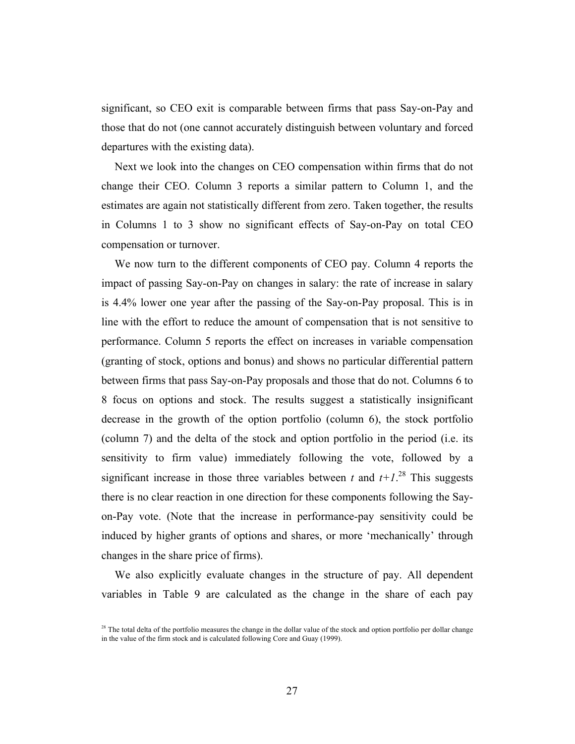significant, so CEO exit is comparable between firms that pass Say-on-Pay and those that do not (one cannot accurately distinguish between voluntary and forced departures with the existing data).

Next we look into the changes on CEO compensation within firms that do not change their CEO. Column 3 reports a similar pattern to Column 1, and the estimates are again not statistically different from zero. Taken together, the results in Columns 1 to 3 show no significant effects of Say-on-Pay on total CEO compensation or turnover.

We now turn to the different components of CEO pay. Column 4 reports the impact of passing Say-on-Pay on changes in salary: the rate of increase in salary is 4.4% lower one year after the passing of the Say-on-Pay proposal. This is in line with the effort to reduce the amount of compensation that is not sensitive to performance. Column 5 reports the effect on increases in variable compensation (granting of stock, options and bonus) and shows no particular differential pattern between firms that pass Say-on-Pay proposals and those that do not. Columns 6 to 8 focus on options and stock. The results suggest a statistically insignificant decrease in the growth of the option portfolio (column 6), the stock portfolio (column 7) and the delta of the stock and option portfolio in the period (i.e. its sensitivity to firm value) immediately following the vote, followed by a significant increase in those three variables between  $t$  and  $t+1$ <sup>28</sup>. This suggests there is no clear reaction in one direction for these components following the Sayon-Pay vote. (Note that the increase in performance-pay sensitivity could be induced by higher grants of options and shares, or more 'mechanically' through changes in the share price of firms).

We also explicitly evaluate changes in the structure of pay. All dependent variables in Table 9 are calculated as the change in the share of each pay

<sup>&</sup>lt;sup>28</sup> The total delta of the portfolio measures the change in the dollar value of the stock and option portfolio per dollar change in the value of the firm stock and is calculated following Core and Guay (1999).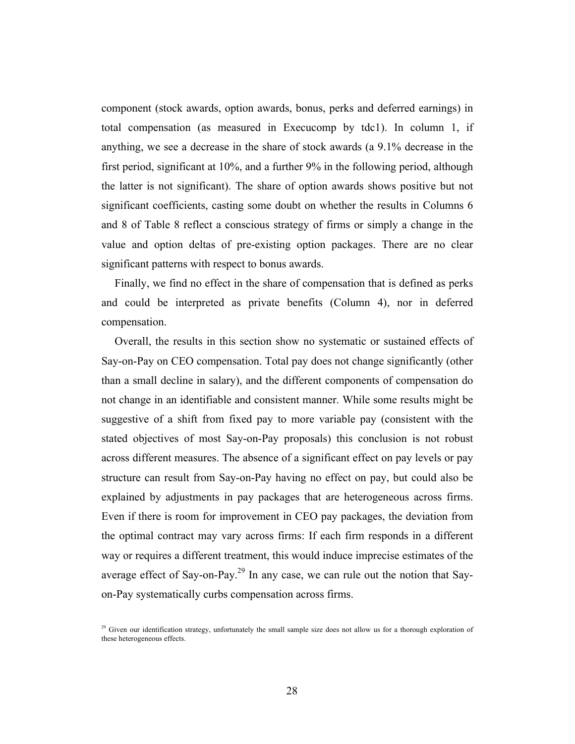component (stock awards, option awards, bonus, perks and deferred earnings) in total compensation (as measured in Execucomp by tdc1). In column 1, if anything, we see a decrease in the share of stock awards (a 9.1% decrease in the first period, significant at 10%, and a further 9% in the following period, although the latter is not significant). The share of option awards shows positive but not significant coefficients, casting some doubt on whether the results in Columns 6 and 8 of Table 8 reflect a conscious strategy of firms or simply a change in the value and option deltas of pre-existing option packages. There are no clear significant patterns with respect to bonus awards.

Finally, we find no effect in the share of compensation that is defined as perks and could be interpreted as private benefits (Column 4), nor in deferred compensation.

Overall, the results in this section show no systematic or sustained effects of Say-on-Pay on CEO compensation. Total pay does not change significantly (other than a small decline in salary), and the different components of compensation do not change in an identifiable and consistent manner. While some results might be suggestive of a shift from fixed pay to more variable pay (consistent with the stated objectives of most Say-on-Pay proposals) this conclusion is not robust across different measures. The absence of a significant effect on pay levels or pay structure can result from Say-on-Pay having no effect on pay, but could also be explained by adjustments in pay packages that are heterogeneous across firms. Even if there is room for improvement in CEO pay packages, the deviation from the optimal contract may vary across firms: If each firm responds in a different way or requires a different treatment, this would induce imprecise estimates of the average effect of Say-on-Pay.<sup>29</sup> In any case, we can rule out the notion that Sayon-Pay systematically curbs compensation across firms.

 $29$  Given our identification strategy, unfortunately the small sample size does not allow us for a thorough exploration of these heterogeneous effects.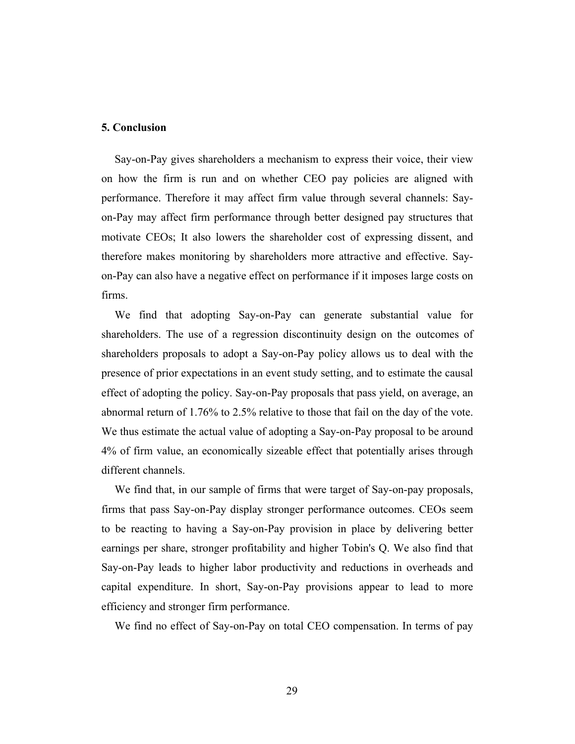## **5. Conclusion**

Say-on-Pay gives shareholders a mechanism to express their voice, their view on how the firm is run and on whether CEO pay policies are aligned with performance. Therefore it may affect firm value through several channels: Sayon-Pay may affect firm performance through better designed pay structures that motivate CEOs; It also lowers the shareholder cost of expressing dissent, and therefore makes monitoring by shareholders more attractive and effective. Sayon-Pay can also have a negative effect on performance if it imposes large costs on firms.

We find that adopting Say-on-Pay can generate substantial value for shareholders. The use of a regression discontinuity design on the outcomes of shareholders proposals to adopt a Say-on-Pay policy allows us to deal with the presence of prior expectations in an event study setting, and to estimate the causal effect of adopting the policy. Say-on-Pay proposals that pass yield, on average, an abnormal return of 1.76% to 2.5% relative to those that fail on the day of the vote. We thus estimate the actual value of adopting a Say-on-Pay proposal to be around 4% of firm value, an economically sizeable effect that potentially arises through different channels.

We find that, in our sample of firms that were target of Say-on-pay proposals, firms that pass Say-on-Pay display stronger performance outcomes. CEOs seem to be reacting to having a Say-on-Pay provision in place by delivering better earnings per share, stronger profitability and higher Tobin's Q. We also find that Say-on-Pay leads to higher labor productivity and reductions in overheads and capital expenditure. In short, Say-on-Pay provisions appear to lead to more efficiency and stronger firm performance.

We find no effect of Say-on-Pay on total CEO compensation. In terms of pay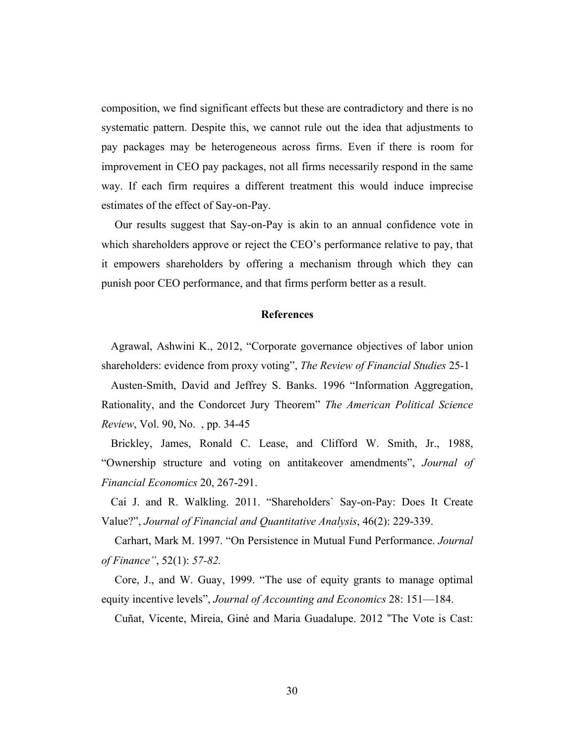composition, we find significant effects but these are contradictory and there is no systematic pattern. Despite this, we cannot rule out the idea that adjustments to pay packages may be heterogeneous across firms. Even if there is room for improvement in CEO pay packages, not all firms necessarily respond in the same way. If each firm requires a different treatment this would induce imprecise estimates of the effect of Say-on-Pay.

Our results suggest that Say-on-Pay is akin to an annual confidence vote in which shareholders approve or reject the CEO's performance relative to pay, that it empowers shareholders by offering a mechanism through which they can punish poor CEO performance, and that firms perform better as a result.

### **References**

Agrawal, Ashwini K., 2012, "Corporate governance objectives of labor union shareholders: evidence from proxy voting", *The Review of Financial Studies* 25-1

Austen-Smith, David and Jeffrey S. Banks. 1996 "Information Aggregation, Rationality, and the Condorcet Jury Theorem" *The American Political Science Review*, Vol. 90, No. , pp. 34-45

Brickley, James, Ronald C. Lease, and Clifford W. Smith, Jr., 1988, "Ownership structure and voting on antitakeover amendments", *Journal of Financial Economics* 20, 267-291.

Cai J. and R. Walkling. 2011. "Shareholders` Say-on-Pay: Does It Create Value?", *Journal of Financial and Quantitative Analysis*, 46(2): 229-339.

Carhart, Mark M. 1997. "On Persistence in Mutual Fund Performance. *Journal of Finance"*, 52(1): *57-82.*

Core, J., and W. Guay, 1999. "The use of equity grants to manage optimal equity incentive levels", *Journal of Accounting and Economics* 28: 151—184.

Cuñat, Vicente, Mireia, Giné and Maria Guadalupe. 2012 "The Vote is Cast: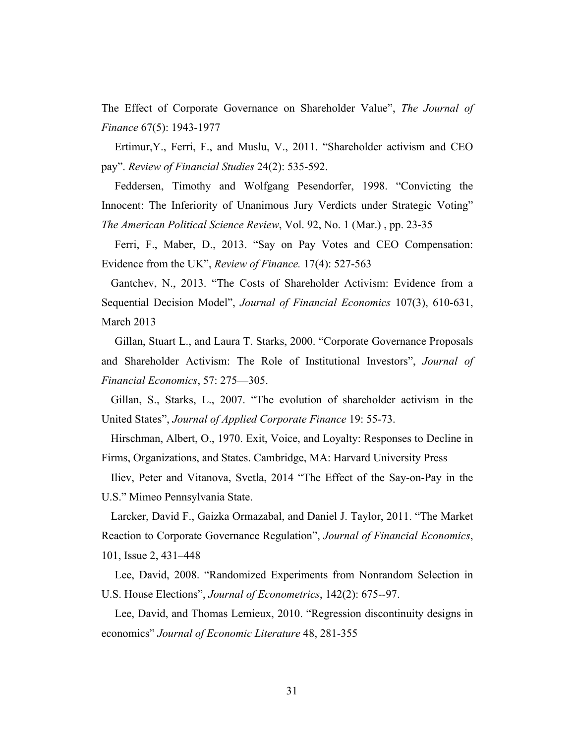The Effect of Corporate Governance on Shareholder Value", *The Journal of Finance* 67(5): 1943-1977

Ertimur,Y., Ferri, F., and Muslu, V., 2011. "Shareholder activism and CEO pay". *Review of Financial Studies* 24(2): 535-592.

Feddersen, Timothy and Wolfgang Pesendorfer, 1998. "Convicting the Innocent: The Inferiority of Unanimous Jury Verdicts under Strategic Voting" *The American Political Science Review*, Vol. 92, No. 1 (Mar.) , pp. 23-35

Ferri, F., Maber, D., 2013. "Say on Pay Votes and CEO Compensation: Evidence from the UK", *Review of Finance.* 17(4): 527-563

Gantchev, N., 2013. "The Costs of Shareholder Activism: Evidence from a Sequential Decision Model", *Journal of Financial Economics* 107(3), 610-631, March 2013

Gillan, Stuart L., and Laura T. Starks, 2000. "Corporate Governance Proposals and Shareholder Activism: The Role of Institutional Investors", *Journal of Financial Economics*, 57: 275—305.

Gillan, S., Starks, L., 2007. "The evolution of shareholder activism in the United States", *Journal of Applied Corporate Finance* 19: 55-73.

Hirschman, Albert, O., 1970. Exit, Voice, and Loyalty: Responses to Decline in Firms, Organizations, and States. Cambridge, MA: Harvard University Press

Iliev, Peter and Vitanova, Svetla, 2014 "The Effect of the Say-on-Pay in the U.S." Mimeo Pennsylvania State.

Larcker, David F., Gaizka Ormazabal, and Daniel J. Taylor, 2011. "The Market Reaction to Corporate Governance Regulation", *Journal of Financial Economics*, 101, Issue 2, 431–448

Lee, David, 2008. "Randomized Experiments from Nonrandom Selection in U.S. House Elections", *Journal of Econometrics*, 142(2): 675--97.

Lee, David, and Thomas Lemieux, 2010. "Regression discontinuity designs in economics" *Journal of Economic Literature* 48, 281-355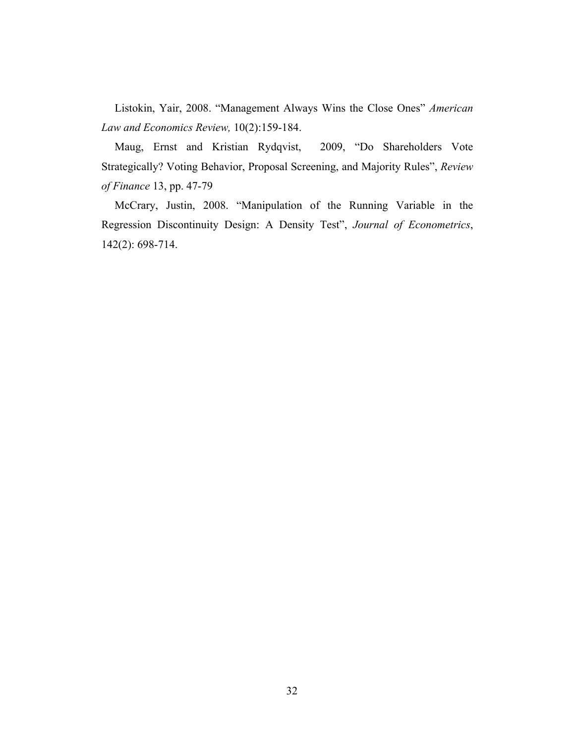Listokin, Yair, 2008. "Management Always Wins the Close Ones" *American Law and Economics Review,* 10(2):159-184.

Maug, Ernst and Kristian Rydqvist, 2009, "Do Shareholders Vote Strategically? Voting Behavior, Proposal Screening, and Majority Rules", *Review of Finance* 13, pp. 47-79

McCrary, Justin, 2008. "Manipulation of the Running Variable in the Regression Discontinuity Design: A Density Test", *Journal of Econometrics*, 142(2): 698-714.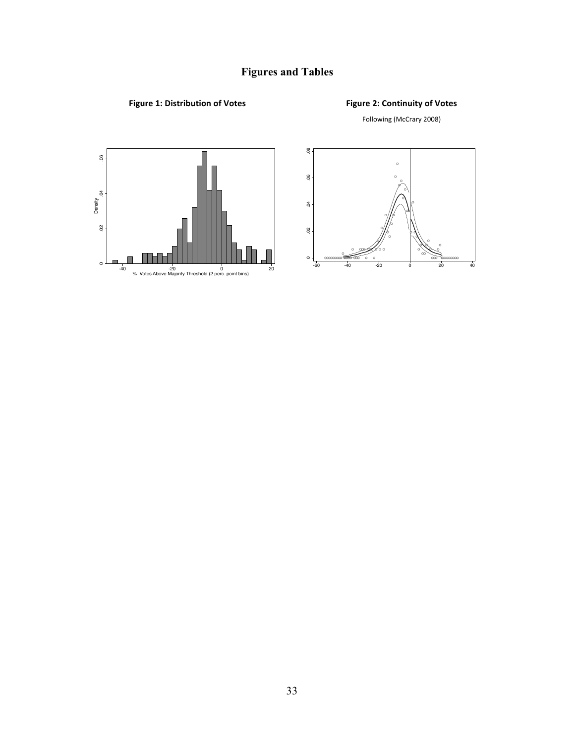# **Figures and Tables**

# Figure 1: Distribution of Votes **Figure 2: Continuity of Votes**





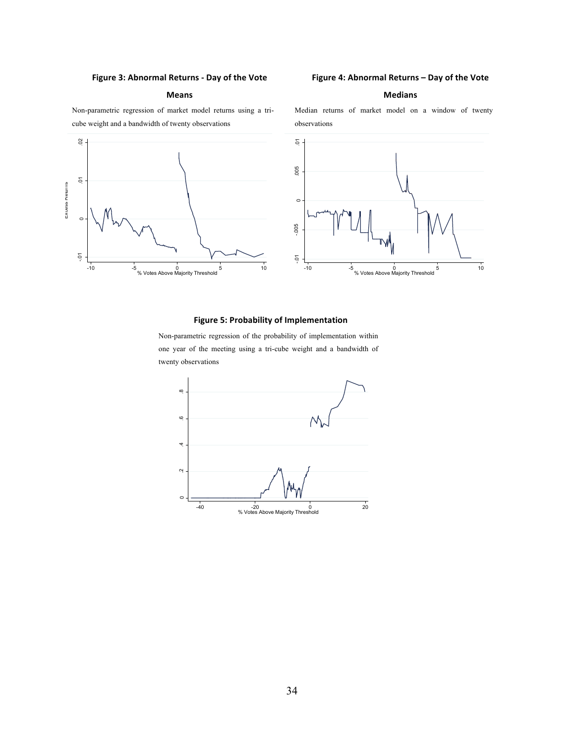#### **Figure 3: Abnormal Returns - Day of the Vote**

#### **Means**

#### Figure 4: Abnormal Returns - Day of the Vote

#### **Medians**

Non-parametric regression of market model returns using a tricube weight and a bandwidth of twenty observations



Median returns of market model on a window of twenty observations



#### **Figure 5: Probability of Implementation**

Non-parametric regression of the probability of implementation within one year of the meeting using a tri-cube weight and a bandwidth of twenty observations

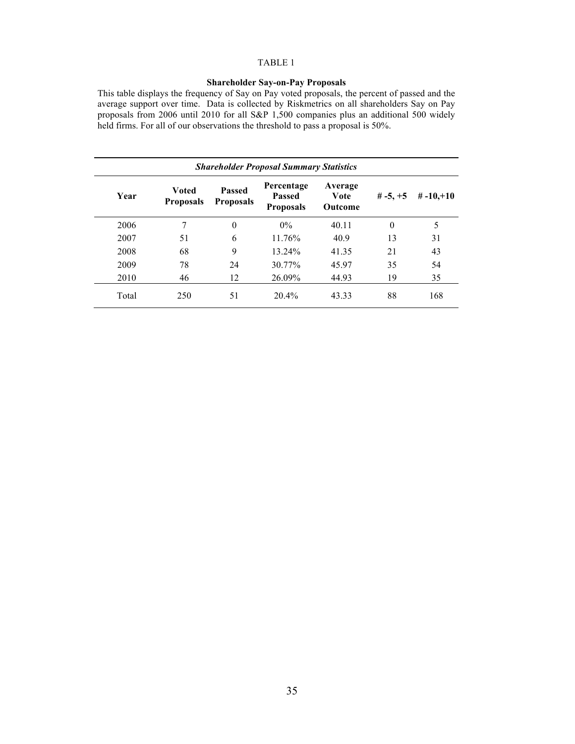#### **Shareholder Say-on-Pay Proposals**

This table displays the frequency of Say on Pay voted proposals, the percent of passed and the average support over time. Data is collected by Riskmetrics on all shareholders Say on Pay proposals from 2006 until 2010 for all S&P 1,500 companies plus an additional 500 widely held firms. For all of our observations the threshold to pass a proposal is 50%.

|       | <b>Shareholder Proposal Summary Statistics</b> |                                   |                                                 |                                   |            |             |  |  |  |
|-------|------------------------------------------------|-----------------------------------|-------------------------------------------------|-----------------------------------|------------|-------------|--|--|--|
| Year  | Voted<br><b>Proposals</b>                      | <b>Passed</b><br><b>Proposals</b> | Percentage<br><b>Passed</b><br><b>Proposals</b> | Average<br>Vote<br><b>Outcome</b> | $# -5, +5$ | $# -10,+10$ |  |  |  |
| 2006  | 7                                              | $\boldsymbol{0}$                  | $0\%$                                           | 40.11                             | $\Omega$   | 5           |  |  |  |
| 2007  | 51                                             | 6                                 | 11.76%                                          | 40.9                              | 13         | 31          |  |  |  |
| 2008  | 68                                             | 9                                 | 13.24%                                          | 41.35                             | 21         | 43          |  |  |  |
| 2009  | 78                                             | 24                                | 30.77%                                          | 45.97                             | 35         | 54          |  |  |  |
| 2010  | 46                                             | 12                                | 26.09%                                          | 44.93                             | 19         | 35          |  |  |  |
| Total | 250                                            | 51                                | $20.4\%$                                        | 43.33                             | 88         | 168         |  |  |  |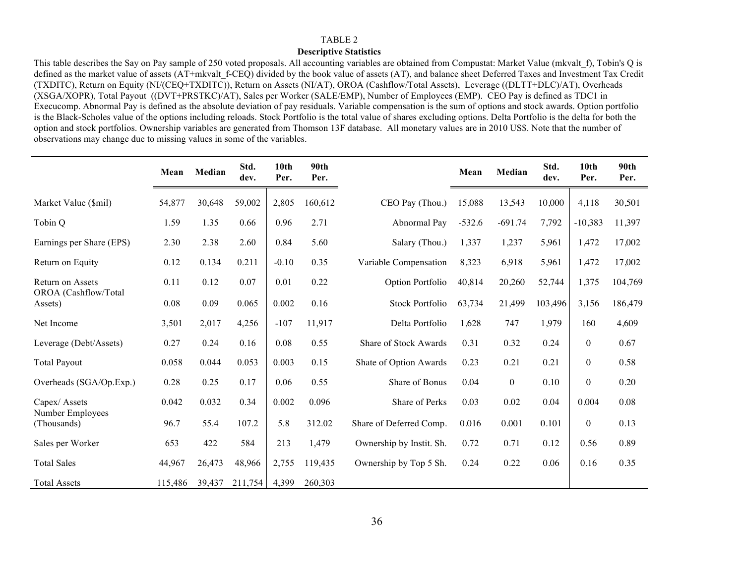#### **Descriptive Statistics**

This table describes the Say on Pay sample of 250 voted proposals. All accounting variables are obtained from Compustat: Market Value (mkvalt f), Tobin's Q is defined as the market value of assets (AT+mkvalt f-CEQ) divided by the book value of assets (AT), and balance sheet Deferred Taxes and Investment Tax Credit (TXDITC), Return on Equity (NI/(CEQ+TXDITC)), Return on Assets (NI/AT), OROA (Cashflow/Total Assets), Leverage ((DLTT+DLC)/AT), Overheads (XSGA/XOPR), Total Payout ((DVT+PRSTKC)/AT), Sales per Worker (SALE/EMP), Number of Employees (EMP). CEO Pay is defined as TDC1 in Execucomp. Abnormal Pay is defined as the absolute deviation of pay residuals. Variable compensation is the sum of options and stock awards. Option portfolio is the Black-Scholes value of the options including reloads. Stock Portfolio is the total value of shares excluding options. Delta Portfolio is the delta for both the option and stock portfolios. Ownership variables are generated from Thomson 13F database. All monetary values are in 2010 US\$. Note that the number of observations may change due to missing values in some of the variables.

|                                 | Mean    | Median | Std.<br>dev. | 10 <sub>th</sub><br>Per. | <b>90th</b><br>Per. |                              | Mean     | Median           | Std.<br>dev. | 10 <sub>th</sub><br>Per. | 90th<br>Per. |
|---------------------------------|---------|--------|--------------|--------------------------|---------------------|------------------------------|----------|------------------|--------------|--------------------------|--------------|
| Market Value (\$mil)            | 54,877  | 30,648 | 59,002       | 2,805                    | 160,612             | CEO Pay (Thou.)              | 15,088   | 13,543           | 10,000       | 4,118                    | 30,501       |
| Tobin Q                         | 1.59    | 1.35   | 0.66         | 0.96                     | 2.71                | Abnormal Pay                 | $-532.6$ | $-691.74$        | 7,792        | $-10,383$                | 11,397       |
| Earnings per Share (EPS)        | 2.30    | 2.38   | 2.60         | 0.84                     | 5.60                | Salary (Thou.)               |          | 1,237            | 5,961        | 1,472                    | 17,002       |
| Return on Equity                | 0.12    | 0.134  | 0.211        | $-0.10$                  | 0.35                | Variable Compensation        | 8,323    | 6,918            | 5,961        | 1,472                    | 17,002       |
| <b>Return on Assets</b>         | 0.11    | 0.12   | 0.07         | 0.01                     | 0.22                | Option Portfolio             | 40,814   | 20,260           | 52,744       | 1,375                    | 104,769      |
| OROA (Cashflow/Total<br>Assets) | 0.08    | 0.09   | 0.065        | 0.002                    | 0.16                | <b>Stock Portfolio</b>       | 63,734   | 21,499           | 103,496      | 3,156                    | 186,479      |
| Net Income                      | 3,501   | 2,017  | 4,256        | $-107$                   | 11,917              | Delta Portfolio              | 1,628    | 747              | 1,979        | 160                      | 4,609        |
| Leverage (Debt/Assets)          | 0.27    | 0.24   | 0.16         | 0.08                     | 0.55                | <b>Share of Stock Awards</b> | 0.31     | 0.32             | 0.24         | $\boldsymbol{0}$         | 0.67         |
| <b>Total Payout</b>             | 0.058   | 0.044  | 0.053        | 0.003                    | 0.15                | Shate of Option Awards       | 0.23     | 0.21             | 0.21         | $\boldsymbol{0}$         | 0.58         |
| Overheads (SGA/Op.Exp.)         | 0.28    | 0.25   | 0.17         | 0.06                     | 0.55                | Share of Bonus               | 0.04     | $\boldsymbol{0}$ | 0.10         | $\boldsymbol{0}$         | 0.20         |
| Capex/Assets                    | 0.042   | 0.032  | 0.34         | 0.002                    | 0.096               | Share of Perks               | 0.03     | 0.02             | 0.04         | 0.004                    | 0.08         |
| Number Employees<br>(Thousands) | 96.7    | 55.4   | 107.2        | 5.8                      | 312.02              | Share of Deferred Comp.      | 0.016    | 0.001            | 0.101        | $\boldsymbol{0}$         | 0.13         |
| Sales per Worker                | 653     | 422    | 584          | 213                      | 1,479               | Ownership by Instit. Sh.     | 0.72     | 0.71             | 0.12         | 0.56                     | 0.89         |
| <b>Total Sales</b>              | 44,967  | 26,473 | 48,966       | 2,755                    | 119,435             | Ownership by Top 5 Sh.       | 0.24     | 0.22             | 0.06         | 0.16                     | 0.35         |
| <b>Total Assets</b>             | 115,486 | 39,437 | 211,754      | 4,399                    | 260,303             |                              |          |                  |              |                          |              |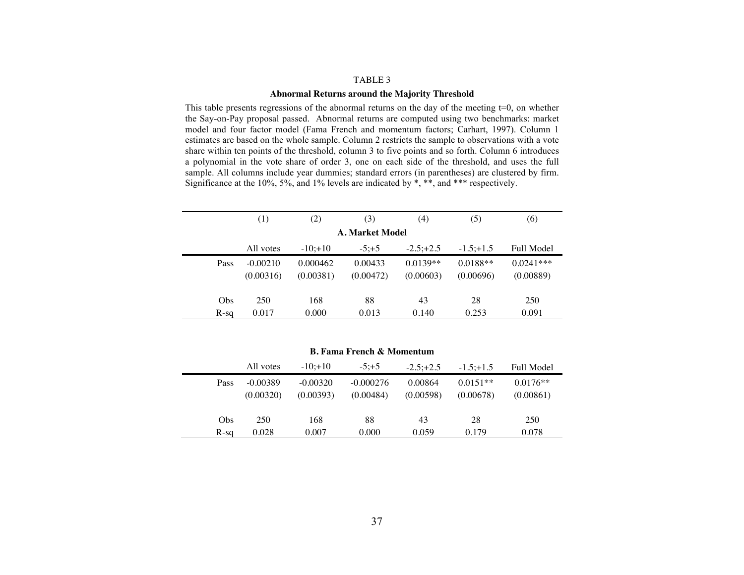#### **Abnormal Returns around the Majority Threshold**

This table presents regressions of the abnormal returns on the day of the meeting  $t=0$ , on whether the Say-on-Pay proposal passed. Abnormal returns are computed using two benchmarks: market model and four factor model (Fama French and momentum factors; Carhart, 1997). Column 1 estimates are based on the whole sample. Column 2 restricts the sample to observations with a vote share within ten points of the threshold, column 3 to five points and so forth. Column 6 introduces a polynomial in the vote share of order 3, one on each side of the threshold, and uses the full sample. All columns include year dummies; standard errors (in parentheses) are clustered by firm. Significance at the 10%, 5%, and 1% levels are indicated by \*, \*\*, and \*\*\* respectively.

|        | (1)             | (2)       | (3)       | (4)         | (5)          | (6)               |  |  |  |  |
|--------|-----------------|-----------|-----------|-------------|--------------|-------------------|--|--|--|--|
|        | A. Market Model |           |           |             |              |                   |  |  |  |  |
|        | All votes       | $-10;+10$ | $-5:+5$   | $-2.5:+2.5$ | $-1.5: +1.5$ | <b>Full Model</b> |  |  |  |  |
| Pass   | $-0.00210$      | 0.000462  | 0.00433   | $0.0139**$  | $0.0188**$   | $0.0241***$       |  |  |  |  |
|        | (0.00316)       | (0.00381) | (0.00472) | (0.00603)   | (0.00696)    | (0.00889)         |  |  |  |  |
|        |                 |           |           |             |              |                   |  |  |  |  |
| Obs    | 250             | 168       | 88        | 43          | 28           | 250               |  |  |  |  |
| $R-sq$ | 0.017           | 0.000     | 0.013     | 0.140       | 0.253        | 0.091             |  |  |  |  |

| B. Fama French & Momentum |            |            |             |             |             |                   |  |  |  |
|---------------------------|------------|------------|-------------|-------------|-------------|-------------------|--|--|--|
|                           | All votes  | $-10;+10$  | $-5:+5$     | $-2.5:+2.5$ | $-1.5:+1.5$ | <b>Full Model</b> |  |  |  |
| Pass                      | $-0.00389$ | $-0.00320$ | $-0.000276$ | 0.00864     | $0.0151**$  | $0.0176**$        |  |  |  |
|                           | (0.00320)  | (0.00393)  | (0.00484)   | (0.00598)   | (0.00678)   | (0.00861)         |  |  |  |
|                           |            |            |             |             |             |                   |  |  |  |
| Obs.                      | 250        | 168        | 88          | 43          | 28          | 250               |  |  |  |
| $R-sq$                    | 0.028      | 0.007      | 0.000       | 0.059       | 0.179       | 0.078             |  |  |  |

**B. Fama French & Momentum**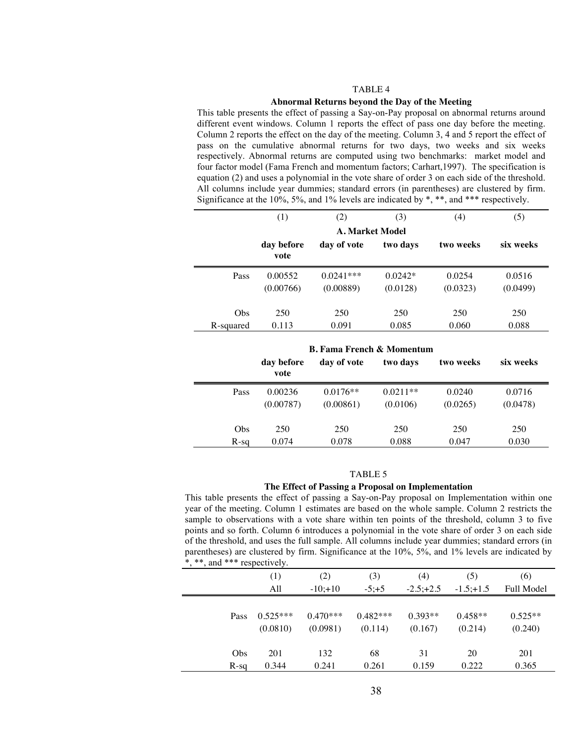#### **Abnormal Returns beyond the Day of the Meeting**

This table presents the effect of passing a Say-on-Pay proposal on abnormal returns around different event windows. Column 1 reports the effect of pass one day before the meeting. Column 2 reports the effect on the day of the meeting. Column 3, 4 and 5 report the effect of pass on the cumulative abnormal returns for two days, two weeks and six weeks respectively. Abnormal returns are computed using two benchmarks: market model and four factor model (Fama French and momentum factors; Carhart,1997). The specification is equation (2) and uses a polynomial in the vote share of order 3 on each side of the threshold. All columns include year dummies; standard errors (in parentheses) are clustered by firm. Significance at the 10%, 5%, and 1% levels are indicated by \*, \*\*, and \*\*\* respectively.

|                        | (1)                  | (2)                      | (3)                   | (4)                | (5)                |  |  |
|------------------------|----------------------|--------------------------|-----------------------|--------------------|--------------------|--|--|
| <b>A. Market Model</b> |                      |                          |                       |                    |                    |  |  |
|                        | day before<br>vote   | day of vote              | two days              | two weeks          | six weeks          |  |  |
| Pass                   | 0.00552<br>(0.00766) | $0.0241***$<br>(0.00889) | $0.0242*$<br>(0.0128) | 0.0254<br>(0.0323) | 0.0516<br>(0.0499) |  |  |
| Obs<br>R-squared       | 250<br>0.113         | 250<br>0.091             | 250<br>0.085          | 250<br>0.060       | 250<br>0.088       |  |  |

| <b>B. Fama French &amp; Momentum</b> |                      |                         |                        |                    |                    |  |  |  |
|--------------------------------------|----------------------|-------------------------|------------------------|--------------------|--------------------|--|--|--|
|                                      | day before<br>vote   | day of vote             | two days               | two weeks          | six weeks          |  |  |  |
| Pass                                 | 0.00236<br>(0.00787) | $0.0176**$<br>(0.00861) | $0.0211**$<br>(0.0106) | 0.0240<br>(0.0265) | 0.0716<br>(0.0478) |  |  |  |
| Obs                                  | 250                  | 250                     | 250                    | 250                | 250                |  |  |  |
| $R-sq$                               | 0.074                | 0.078                   | 0.088                  | 0.047              | 0.030              |  |  |  |

#### TABLE 5

#### **The Effect of Passing a Proposal on Implementation**

This table presents the effect of passing a Say-on-Pay proposal on Implementation within one year of the meeting. Column 1 estimates are based on the whole sample. Column 2 restricts the sample to observations with a vote share within ten points of the threshold, column 3 to five points and so forth. Column 6 introduces a polynomial in the vote share of order 3 on each side of the threshold, and uses the full sample. All columns include year dummies; standard errors (in parentheses) are clustered by firm. Significance at the 10%, 5%, and 1% levels are indicated by  $*$  \*\*, and \*\*\* respectively.

| $\ldots$ , ally |        | ICSPCCUVCIY. |            |            |             |              |                   |
|-----------------|--------|--------------|------------|------------|-------------|--------------|-------------------|
|                 |        | (1)          | (2)        | (3)        | (4)         | (5)          | (6)               |
|                 |        | A11          | $-10: +10$ | $-5:+5$    | $-2.5:+2.5$ | $-1.5: +1.5$ | <b>Full Model</b> |
|                 |        |              |            |            |             |              |                   |
|                 | Pass   | $0.525***$   | $0.470***$ | $0.482***$ | $0.393**$   | $0.458**$    | $0.525**$         |
|                 |        | (0.0810)     | (0.0981)   | (0.114)    | (0.167)     | (0.214)      | (0.240)           |
|                 |        |              |            |            |             |              |                   |
|                 | Obs    | 201          | 132        | 68         | 31          | 20           | 201               |
|                 | $R-sq$ | 0.344        | 0.241      | 0.261      | 0.159       | 0.222        | 0.365             |
|                 |        |              |            |            |             |              |                   |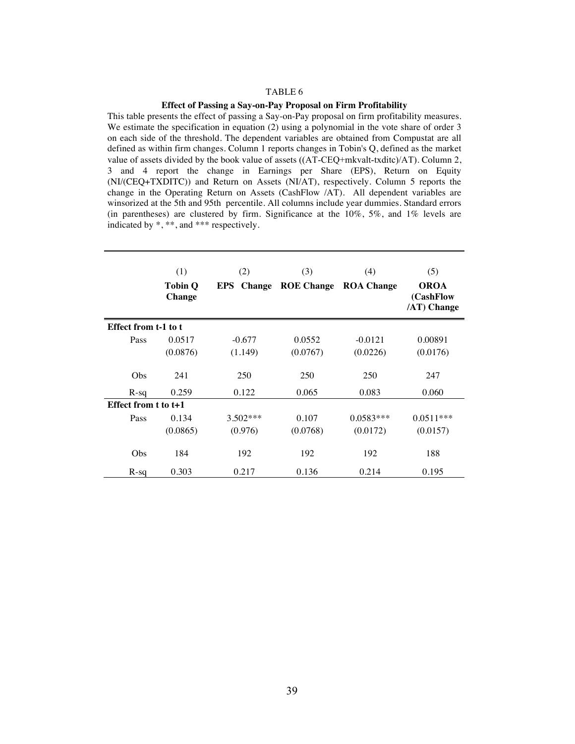#### **Effect of Passing a Say-on-Pay Proposal on Firm Profitability**

This table presents the effect of passing a Say-on-Pay proposal on firm profitability measures. We estimate the specification in equation (2) using a polynomial in the vote share of order 3 on each side of the threshold. The dependent variables are obtained from Compustat are all defined as within firm changes. Column 1 reports changes in Tobin's Q, defined as the market value of assets divided by the book value of assets ((AT-CEQ+mkvalt-txditc)/AT). Column 2, 3 and 4 report the change in Earnings per Share (EPS), Return on Equity (NI/(CEQ+TXDITC)) and Return on Assets (NI/AT), respectively. Column 5 reports the change in the Operating Return on Assets (CashFlow /AT). All dependent variables are winsorized at the 5th and 95th percentile. All columns include year dummies. Standard errors (in parentheses) are clustered by firm. Significance at the  $10\%$ ,  $5\%$ , and  $1\%$  levels are indicated by \*, \*\*, and \*\*\* respectively.

|                      | (1)<br><b>Tobin O</b><br><b>Change</b> | (2)<br><b>EPS</b><br><b>Change</b> | (3)<br><b>ROE Change</b> | (4)<br><b>ROA Change</b> | (5)<br><b>OROA</b><br>(CashFlow<br>/AT) Change |  |  |
|----------------------|----------------------------------------|------------------------------------|--------------------------|--------------------------|------------------------------------------------|--|--|
| Effect from t-1 to t |                                        |                                    |                          |                          |                                                |  |  |
| Pass                 | 0.0517                                 | $-0.677$                           | 0.0552                   | $-0.0121$                | 0.00891                                        |  |  |
|                      | (0.0876)                               | (1.149)                            | (0.0767)                 | (0.0226)                 | (0.0176)                                       |  |  |
| Obs                  | 241                                    | 250                                | 250                      | 250                      | 247                                            |  |  |
| $R-sq$               | 0.259                                  | 0.122                              | 0.065                    | 0.083                    | 0.060                                          |  |  |
| Effect from t to t+1 |                                        |                                    |                          |                          |                                                |  |  |
| Pass                 | 0.134                                  | $3.502***$                         | 0.107                    | $0.0583***$              | $0.0511***$                                    |  |  |
|                      | (0.0865)                               | (0.976)                            | (0.0768)                 | (0.0172)                 | (0.0157)                                       |  |  |
| Obs                  | 184                                    | 192                                | 192                      | 192                      | 188                                            |  |  |
| $R-sq$               | 0.303                                  | 0.217                              | 0.136                    | 0.214                    | 0.195                                          |  |  |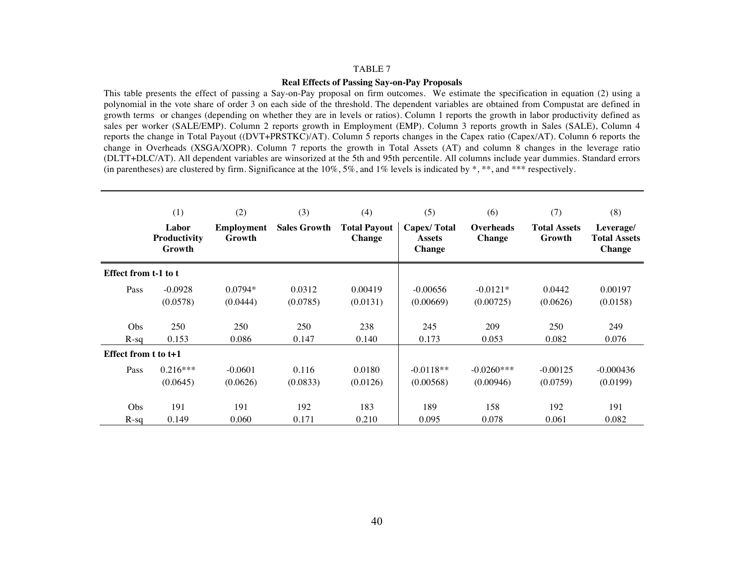#### **Real Effects of Passing Say-on-Pay Proposals**

This table presents the effect of passing a Say-on-Pay proposal on firm outcomes. We estimate the specification in equation (2) using a polynomial in the vote share of order 3 on each side of the threshold. The dependent variables are obtained from Compustat are defined in growth terms or changes (depending on whether they are in levels or ratios). Column 1 reports the growth in labor productivity defined as sales per worker (SALE/EMP). Column 2 reports growth in Employment (EMP). Column 3 reports growth in Sales (SALE), Column 4 reports the change in Total Payout ((DVT+PRSTKC)/AT). Column 5 reports changes in the Capex ratio (Capex/AT). Column 6 reports the change in Overheads (XSGA/XOPR). Column 7 reports the growth in Total Assets (AT) and column 8 changes in the leverage ratio (DLTT+DLC/AT). All dependent variables are winsorized at the 5th and 95th percentile. All columns include year dummies. Standard errors (in parentheses) are clustered by firm. Significance at the 10%, 5%, and 1% levels is indicated by \*, \*\*, and \*\*\* respectively.

|                      | (1)                                    | (2)                         | (3)                 | (4)                           | (5)                                           | (6)                        | (7)                           | (8)                                               |
|----------------------|----------------------------------------|-----------------------------|---------------------|-------------------------------|-----------------------------------------------|----------------------------|-------------------------------|---------------------------------------------------|
|                      | Labor<br>Productivity<br><b>Growth</b> | <b>Employment</b><br>Growth | <b>Sales Growth</b> | <b>Total Payout</b><br>Change | Capex/Total<br><b>Assets</b><br><b>Change</b> | Overheads<br><b>Change</b> | <b>Total Assets</b><br>Growth | Leverage/<br><b>Total Assets</b><br><b>Change</b> |
| Effect from t-1 to t |                                        |                             |                     |                               |                                               |                            |                               |                                                   |
| Pass                 | $-0.0928$                              | $0.0794*$                   | 0.0312              | 0.00419                       | $-0.00656$                                    | $-0.0121*$                 | 0.0442                        | 0.00197                                           |
|                      | (0.0578)                               | (0.0444)                    | (0.0785)            | (0.0131)                      | (0.00669)                                     | (0.00725)                  | (0.0626)                      | (0.0158)                                          |
| Obs                  | 250                                    | 250                         | 250                 | 238                           | 245                                           | 209                        | 250                           | 249                                               |
| $R-sq$               | 0.153                                  | 0.086                       | 0.147               | 0.140                         | 0.173                                         | 0.053                      | 0.082                         | 0.076                                             |
| Effect from t to t+1 |                                        |                             |                     |                               |                                               |                            |                               |                                                   |
| Pass                 | $0.216***$                             | $-0.0601$                   | 0.116               | 0.0180                        | $-0.0118**$                                   | $-0.0260$ ***              | $-0.00125$                    | $-0.000436$                                       |
|                      | (0.0645)                               | (0.0626)                    | (0.0833)            | (0.0126)                      | (0.00568)                                     | (0.00946)                  | (0.0759)                      | (0.0199)                                          |
| Obs                  | 191                                    | 191                         | 192                 | 183                           | 189                                           | 158                        | 192                           | 191                                               |
| $R-sq$               | 0.149                                  | 0.060                       | 0.171               | 0.210                         | 0.095                                         | 0.078                      | 0.061                         | 0.082                                             |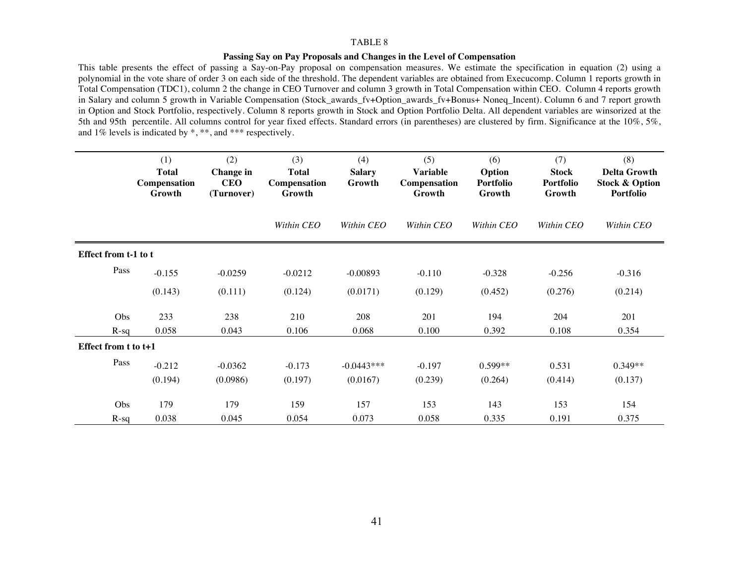#### **Passing Say on Pay Proposals and Changes in the Level of Compensation**

This table presents the effect of passing a Say-on-Pay proposal on compensation measures. We estimate the specification in equation (2) using a polynomial in the vote share of order 3 on each side of the threshold. The dependent variables are obtained from Execucomp. Column 1 reports growth in Total Compensation (TDC1), column 2 the change in CEO Turnover and column 3 growth in Total Compensation within CEO. Column 4 reports growth in Salary and column 5 growth in Variable Compensation (Stock\_awards\_fv+Option\_awards\_fv+Bonus+ Noneq\_Incent). Column 6 and 7 report growth in Option and Stock Portfolio, respectively. Column 8 reports growth in Stock and Option Portfolio Delta. All dependent variables are winsorized at the 5th and 95th percentile. All columns control for year fixed effects. Standard errors (in parentheses) are clustered by firm. Significance at the 10%, 5%, and 1% levels is indicated by \*, \*\*, and \*\*\* respectively.

|                      | (1)                                    | (2)                                          | (3)                                    | (4)                     | (5)                                       | (6)                                  | (7)                                 | (8)                                                                  |
|----------------------|----------------------------------------|----------------------------------------------|----------------------------------------|-------------------------|-------------------------------------------|--------------------------------------|-------------------------------------|----------------------------------------------------------------------|
|                      | <b>Total</b><br>Compensation<br>Growth | <b>Change</b> in<br><b>CEO</b><br>(Turnover) | <b>Total</b><br>Compensation<br>Growth | <b>Salary</b><br>Growth | <b>Variable</b><br>Compensation<br>Growth | Option<br><b>Portfolio</b><br>Growth | <b>Stock</b><br>Portfolio<br>Growth | <b>Delta Growth</b><br><b>Stock &amp; Option</b><br><b>Portfolio</b> |
|                      |                                        |                                              | Within CEO                             | Within CEO              | Within CEO                                | Within CEO                           | Within CEO                          | Within CEO                                                           |
| Effect from t-1 to t |                                        |                                              |                                        |                         |                                           |                                      |                                     |                                                                      |
| Pass                 | $-0.155$                               | $-0.0259$                                    | $-0.0212$                              | $-0.00893$              | $-0.110$                                  | $-0.328$                             | $-0.256$                            | $-0.316$                                                             |
|                      | (0.143)                                | (0.111)                                      | (0.124)                                | (0.0171)                | (0.129)                                   | (0.452)                              | (0.276)                             | (0.214)                                                              |
| Obs                  | 233                                    | 238                                          | 210                                    | 208                     | 201                                       | 194                                  | 204                                 | 201                                                                  |
| $R-sq$               | 0.058                                  | 0.043                                        | 0.106                                  | 0.068                   | 0.100                                     | 0.392                                | 0.108                               | 0.354                                                                |
| Effect from t to t+1 |                                        |                                              |                                        |                         |                                           |                                      |                                     |                                                                      |
| Pass                 | $-0.212$                               | $-0.0362$                                    | $-0.173$                               | $-0.0443***$            | $-0.197$                                  | $0.599**$                            | 0.531                               | $0.349**$                                                            |
|                      | (0.194)                                | (0.0986)                                     | (0.197)                                | (0.0167)                | (0.239)                                   | (0.264)                              | (0.414)                             | (0.137)                                                              |
| Obs                  | 179                                    | 179                                          | 159                                    | 157                     | 153                                       | 143                                  | 153                                 | 154                                                                  |
| $R-sq$               | 0.038                                  | 0.045                                        | 0.054                                  | 0.073                   | 0.058                                     | 0.335                                | 0.191                               | 0.375                                                                |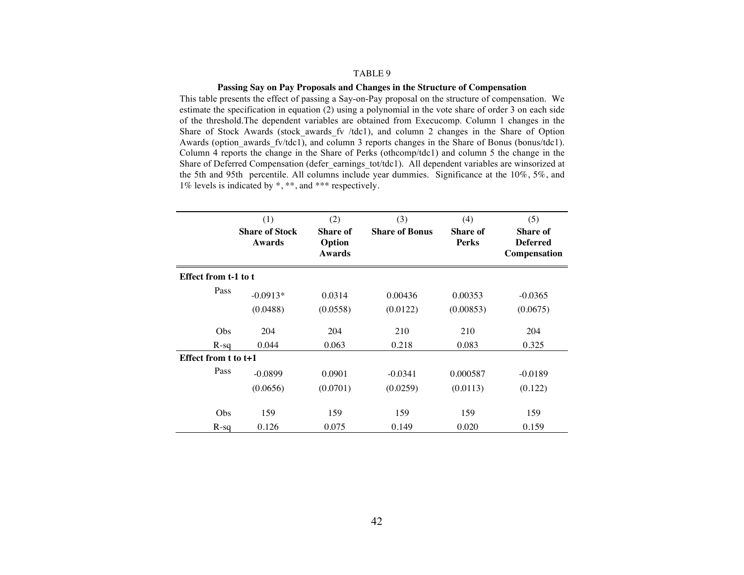#### **Passing Say on Pay Proposals and Changes in the Structure of Compensation**

This table presents the effect of passing a Say-on-Pay proposal on the structure of compensation. We estimate the specification in equation (2) using a polynomial in the vote share of order 3 on each side of the threshold.The dependent variables are obtained from Execucomp. Column 1 changes in the Share of Stock Awards (stock awards fv /tdc1), and column 2 changes in the Share of Option Awards (option awards fv/tdc1), and column 3 reports changes in the Share of Bonus (bonus/tdc1). Column 4 reports the change in the Share of Perks (othcomp/tdc1) and column 5 the change in the Share of Deferred Compensation (defer earnings tot/tdc1). All dependent variables are winsorized at the 5th and 95th percentile. All columns include year dummies. Significance at the 10%, 5%, and 1% levels is indicated by \*, \*\*, and \*\*\* respectively.

|                      | (1)                             | (2)                                        | (3)                   | (4)                      | (5)                                                |
|----------------------|---------------------------------|--------------------------------------------|-----------------------|--------------------------|----------------------------------------------------|
|                      | <b>Share of Stock</b><br>Awards | <b>Share of</b><br>Option<br><b>Awards</b> | <b>Share of Bonus</b> | Share of<br><b>Perks</b> | <b>Share of</b><br><b>Deferred</b><br>Compensation |
| Effect from t-1 to t |                                 |                                            |                       |                          |                                                    |
| Pass                 | $-0.0913*$                      | 0.0314                                     | 0.00436               | 0.00353                  | $-0.0365$                                          |
|                      | (0.0488)                        | (0.0558)                                   | (0.0122)              | (0.00853)                | (0.0675)                                           |
| Obs                  | 204                             | 204                                        | 210                   | 210                      | 204                                                |
| $R-sq$               | 0.044                           | 0.063                                      | 0.218                 | 0.083                    | 0.325                                              |
| Effect from t to t+1 |                                 |                                            |                       |                          |                                                    |
| Pass                 | $-0.0899$                       | 0.0901                                     | $-0.0341$             | 0.000587                 | $-0.0189$                                          |
|                      | (0.0656)                        | (0.0701)                                   | (0.0259)              | (0.0113)                 | (0.122)                                            |
| Obs                  | 159                             | 159                                        | 159                   | 159                      | 159                                                |
| $R-sq$               | 0.126                           | 0.075                                      | 0.149                 | 0.020                    | 0.159                                              |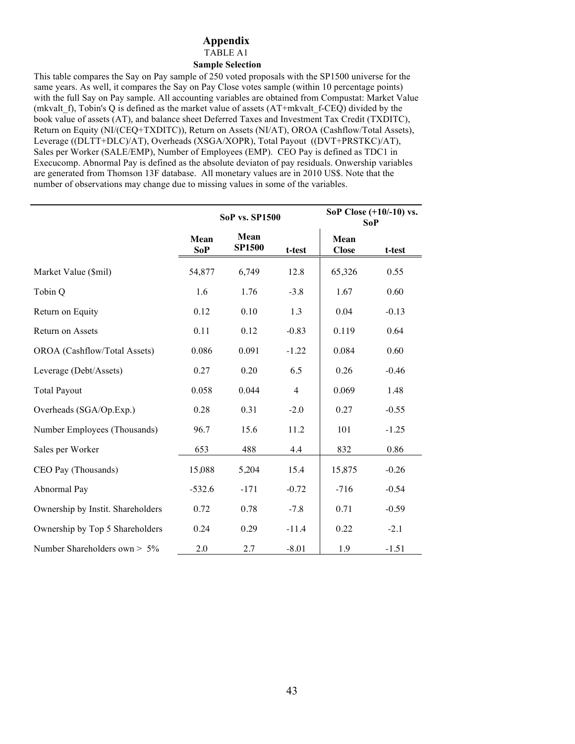### **Appendix** TABLE A1

#### **Sample Selection**

This table compares the Say on Pay sample of 250 voted proposals with the SP1500 universe for the same years. As well, it compares the Say on Pay Close votes sample (within 10 percentage points) with the full Say on Pay sample. All accounting variables are obtained from Compustat: Market Value (mkvalt  $f$ ), Tobin's Q is defined as the market value of assets (AT+mkvalt  $f$ -CEQ) divided by the book value of assets (AT), and balance sheet Deferred Taxes and Investment Tax Credit (TXDITC), Return on Equity (NI/(CEQ+TXDITC)), Return on Assets (NI/AT), OROA (Cashflow/Total Assets), Leverage ((DLTT+DLC)/AT), Overheads (XSGA/XOPR), Total Payout ((DVT+PRSTKC)/AT), Sales per Worker (SALE/EMP), Number of Employees (EMP). CEO Pay is defined as TDC1 in Execucomp. Abnormal Pay is defined as the absolute deviaton of pay residuals. Onwership variables are generated from Thomson 13F database. All monetary values are in 2010 US\$. Note that the number of observations may change due to missing values in some of the variables.

|                                   |                           | <b>SoP vs. SP1500</b> |                | SoP Close $(+10/-10)$ vs.<br>SoP |         |  |
|-----------------------------------|---------------------------|-----------------------|----------------|----------------------------------|---------|--|
|                                   | <b>Mean</b><br><b>SoP</b> | Mean<br><b>SP1500</b> | t-test         | Mean<br><b>Close</b>             | t-test  |  |
| Market Value (\$mil)              | 54,877                    | 6,749                 | 12.8           | 65,326                           | 0.55    |  |
| Tobin Q                           | 1.6                       | 1.76                  | $-3.8$         | 1.67                             | 0.60    |  |
| Return on Equity                  | 0.12                      | 0.10                  | 1.3            | 0.04                             | $-0.13$ |  |
| Return on Assets                  | 0.11                      | 0.12                  | $-0.83$        | 0.119                            | 0.64    |  |
| OROA (Cashflow/Total Assets)      | 0.086                     | 0.091                 | $-1.22$        | 0.084                            | 0.60    |  |
| Leverage (Debt/Assets)            | 0.27                      | 0.20                  | 6.5            | 0.26                             | $-0.46$ |  |
| <b>Total Payout</b>               | 0.058                     | 0.044                 | $\overline{4}$ | 0.069                            | 1.48    |  |
| Overheads (SGA/Op.Exp.)           | 0.28                      | 0.31                  | $-2.0$         | 0.27                             | $-0.55$ |  |
| Number Employees (Thousands)      | 96.7                      | 15.6                  | 11.2           | 101                              | $-1.25$ |  |
| Sales per Worker                  | 653                       | 488                   | 4.4            | 832                              | 0.86    |  |
| CEO Pay (Thousands)               | 15,088                    | 5,204                 | 15.4           | 15,875                           | $-0.26$ |  |
| Abnormal Pay                      | $-532.6$                  | $-171$                | $-0.72$        | $-716$                           | $-0.54$ |  |
| Ownership by Instit. Shareholders | 0.72                      | 0.78                  | $-7.8$         | 0.71                             | $-0.59$ |  |
| Ownership by Top 5 Shareholders   | 0.24                      | 0.29                  | $-11.4$        | 0.22                             | $-2.1$  |  |
| Number Shareholders own $> 5\%$   | 2.0                       | 2.7                   | $-8.01$        | 1.9                              | $-1.51$ |  |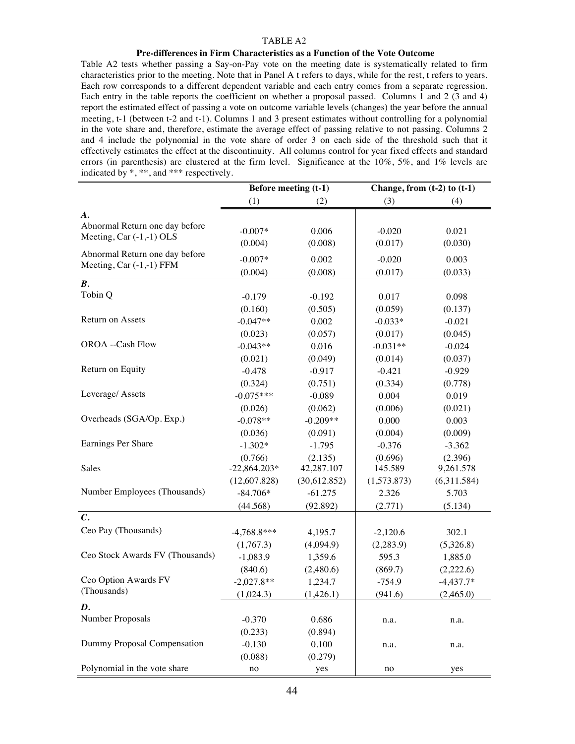#### TABLE A2

#### **Pre-differences in Firm Characteristics as a Function of the Vote Outcome**

Table A2 tests whether passing a Say-on-Pay vote on the meeting date is systematically related to firm characteristics prior to the meeting. Note that in Panel A t refers to days, while for the rest, t refers to years. Each row corresponds to a different dependent variable and each entry comes from a separate regression. Each entry in the table reports the coefficient on whether a proposal passed. Columns 1 and 2 (3 and 4) report the estimated effect of passing a vote on outcome variable levels (changes) the year before the annual meeting, t-1 (between t-2 and t-1). Columns 1 and 3 present estimates without controlling for a polynomial in the vote share and, therefore, estimate the average effect of passing relative to not passing. Columns 2 and 4 include the polynomial in the vote share of order 3 on each side of the threshold such that it effectively estimates the effect at the discontinuity. All columns control for year fixed effects and standard errors (in parenthesis) are clustered at the firm level. Significance at the 10%, 5%, and 1% levels are indicated by \*, \*\*, and \*\*\* respectively.

|                                 | Before meeting (t-1) |              | Change, from $(t-2)$ to $(t-1)$ |             |
|---------------------------------|----------------------|--------------|---------------------------------|-------------|
|                                 | (1)                  | (2)          | (3)                             | (4)         |
| A.                              |                      |              |                                 |             |
| Abnormal Return one day before  | $-0.007*$            | 0.006        | $-0.020$                        | 0.021       |
| Meeting, Car $(-1,-1)$ OLS      | (0.004)              | (0.008)      | (0.017)                         | (0.030)     |
| Abnormal Return one day before  |                      |              |                                 |             |
| Meeting, Car $(-1,-1)$ FFM      | $-0.007*$            | 0.002        | $-0.020$                        | 0.003       |
|                                 | (0.004)              | (0.008)      | (0.017)                         | (0.033)     |
| $\boldsymbol{B}$ .              |                      |              |                                 |             |
| Tobin Q                         | $-0.179$             | $-0.192$     | 0.017                           | 0.098       |
|                                 | (0.160)              | (0.505)      | (0.059)                         | (0.137)     |
| Return on Assets                | $-0.047**$           | 0.002        | $-0.033*$                       | $-0.021$    |
|                                 | (0.023)              | (0.057)      | (0.017)                         | (0.045)     |
| OROA -- Cash Flow               | $-0.043**$           | 0.016        | $-0.031**$                      | $-0.024$    |
|                                 | (0.021)              | (0.049)      | (0.014)                         | (0.037)     |
| Return on Equity                | $-0.478$             | $-0.917$     | $-0.421$                        | $-0.929$    |
|                                 | (0.324)              | (0.751)      | (0.334)                         | (0.778)     |
| Leverage/ Assets                | $-0.075***$          | $-0.089$     | 0.004                           | 0.019       |
|                                 | (0.026)              | (0.062)      | (0.006)                         | (0.021)     |
| Overheads (SGA/Op. Exp.)        | $-0.078**$           | $-0.209**$   | 0.000                           | 0.003       |
|                                 | (0.036)              | (0.091)      | (0.004)                         | (0.009)     |
| Earnings Per Share              | $-1.302*$            | $-1.795$     | $-0.376$                        | $-3.362$    |
|                                 | (0.766)              | (2.135)      | (0.696)                         | (2.396)     |
| Sales                           | $-22,864.203*$       | 42,287.107   | 145.589                         | 9,261.578   |
|                                 | (12,607.828)         | (30,612.852) | (1,573.873)                     | (6,311.584) |
| Number Employees (Thousands)    | $-84.706*$           | $-61.275$    | 2.326                           | 5.703       |
|                                 | (44.568)             | (92.892)     | (2.771)                         | (5.134)     |
| $\mathcal{C}.$                  |                      |              |                                 |             |
| Ceo Pay (Thousands)             | $-4,768.8***$        | 4,195.7      | $-2,120.6$                      | 302.1       |
|                                 | (1,767.3)            | (4,094.9)    | (2,283.9)                       | (5,326.8)   |
| Ceo Stock Awards FV (Thousands) | $-1,083.9$           | 1,359.6      | 595.3                           | 1,885.0     |
|                                 | (840.6)              | (2,480.6)    | (869.7)                         | (2,222.6)   |
| Ceo Option Awards FV            | $-2,027.8**$         | 1,234.7      | $-754.9$                        | $-4,437.7*$ |
| (Thousands)                     | (1,024.3)            | (1,426.1)    | (941.6)                         | (2,465.0)   |
| D.                              |                      |              |                                 |             |
| Number Proposals                | $-0.370$             | 0.686        | n.a.                            | n.a.        |
|                                 | (0.233)              | (0.894)      |                                 |             |
| Dummy Proposal Compensation     | $-0.130$             | 0.100        | n.a.                            | n.a.        |
|                                 | (0.088)              | (0.279)      |                                 |             |
| Polynomial in the vote share    | no                   | yes          | no                              | yes         |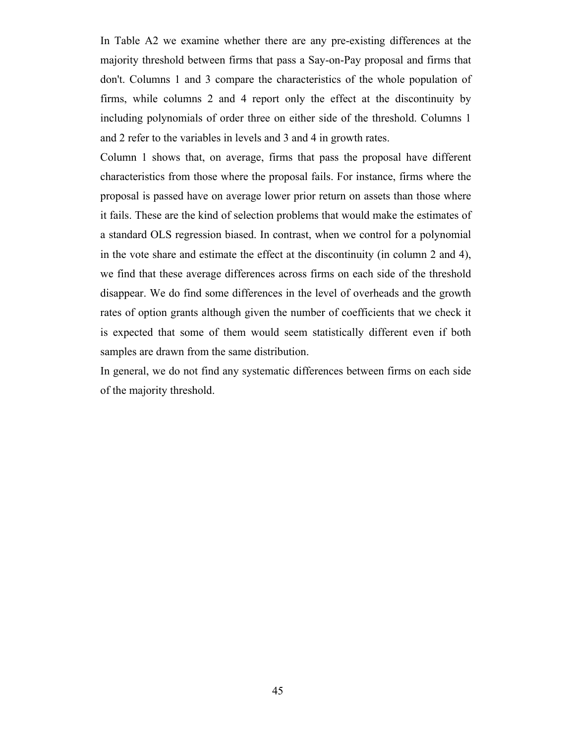In Table A2 we examine whether there are any pre-existing differences at the majority threshold between firms that pass a Say-on-Pay proposal and firms that don't. Columns 1 and 3 compare the characteristics of the whole population of firms, while columns 2 and 4 report only the effect at the discontinuity by including polynomials of order three on either side of the threshold. Columns 1 and 2 refer to the variables in levels and 3 and 4 in growth rates.

Column 1 shows that, on average, firms that pass the proposal have different characteristics from those where the proposal fails. For instance, firms where the proposal is passed have on average lower prior return on assets than those where it fails. These are the kind of selection problems that would make the estimates of a standard OLS regression biased. In contrast, when we control for a polynomial in the vote share and estimate the effect at the discontinuity (in column 2 and 4), we find that these average differences across firms on each side of the threshold disappear. We do find some differences in the level of overheads and the growth rates of option grants although given the number of coefficients that we check it is expected that some of them would seem statistically different even if both samples are drawn from the same distribution.

In general, we do not find any systematic differences between firms on each side of the majority threshold.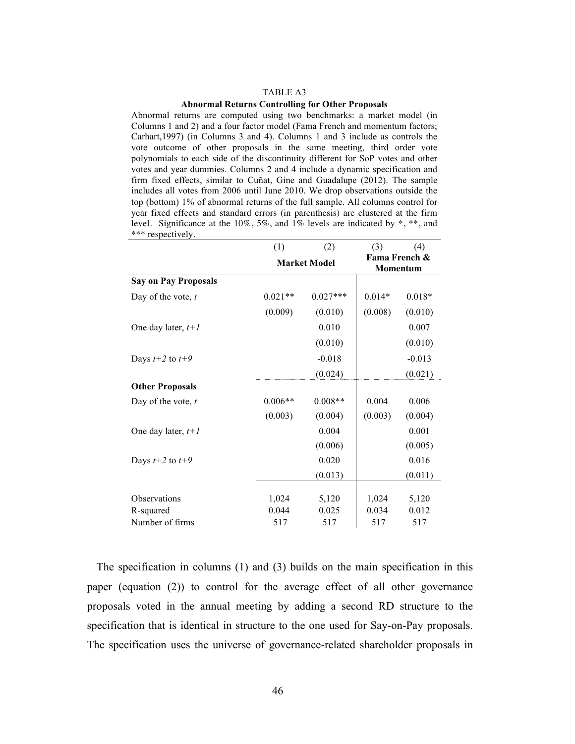#### TABLE A3

#### **Abnormal Returns Controlling for Other Proposals**

Abnormal returns are computed using two benchmarks: a market model (in Columns 1 and 2) and a four factor model (Fama French and momentum factors; Carhart,1997) (in Columns 3 and 4). Columns 1 and 3 include as controls the vote outcome of other proposals in the same meeting, third order vote polynomials to each side of the discontinuity different for SoP votes and other votes and year dummies. Columns 2 and 4 include a dynamic specification and firm fixed effects, similar to Cuñat, Gine and Guadalupe (2012). The sample includes all votes from 2006 until June 2010. We drop observations outside the top (bottom) 1% of abnormal returns of the full sample. All columns control for year fixed effects and standard errors (in parenthesis) are clustered at the firm level. Significance at the 10%, 5%, and 1% levels are indicated by \*, \*\*, and \*\*\* respectively.

|                             | (1)       | (2)                 | (3)      | (4)                       |  |
|-----------------------------|-----------|---------------------|----------|---------------------------|--|
|                             |           | <b>Market Model</b> |          | Fama French &<br>Momentum |  |
| <b>Say on Pay Proposals</b> |           |                     |          |                           |  |
| Day of the vote, $t$        | $0.021**$ | $0.027***$          | $0.014*$ | $0.018*$                  |  |
|                             | (0.009)   | (0.010)             | (0.008)  | (0.010)                   |  |
| One day later, $t+1$        |           | 0.010               |          | 0.007                     |  |
|                             |           | (0.010)             |          | (0.010)                   |  |
| Days $t+2$ to $t+9$         |           | $-0.018$            |          | $-0.013$                  |  |
|                             |           | (0.024)             |          | (0.021)                   |  |
| <b>Other Proposals</b>      |           |                     |          |                           |  |
| Day of the vote, $t$        | $0.006**$ | $0.008**$           | 0.004    | 0.006                     |  |
|                             | (0.003)   | (0.004)             | (0.003)  | (0.004)                   |  |
| One day later, $t+1$        |           | 0.004               |          | 0.001                     |  |
|                             |           | (0.006)             |          | (0.005)                   |  |
| Days $t+2$ to $t+9$         |           | 0.020               |          | 0.016                     |  |
|                             |           | (0.013)             |          | (0.011)                   |  |
|                             |           |                     |          |                           |  |
| Observations                | 1,024     | 5,120               | 1,024    | 5,120                     |  |
| R-squared                   | 0.044     | 0.025               | 0.034    | 0.012                     |  |
| Number of firms             | 517       | 517                 | 517      | 517                       |  |

The specification in columns (1) and (3) builds on the main specification in this paper (equation (2)) to control for the average effect of all other governance proposals voted in the annual meeting by adding a second RD structure to the specification that is identical in structure to the one used for Say-on-Pay proposals. The specification uses the universe of governance-related shareholder proposals in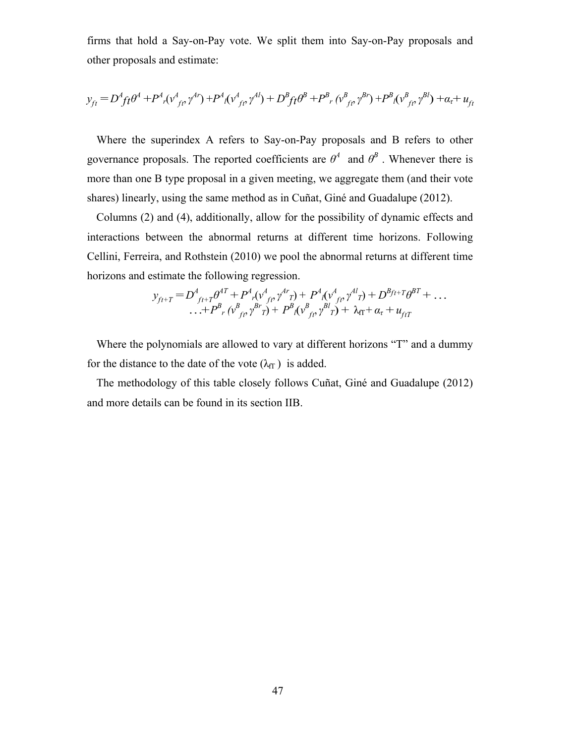firms that hold a Say-on-Pay vote. We split them into Say-on-Pay proposals and other proposals and estimate:

$$
y_{ft} = D^4 f t \theta^4 + P^4 r (v_{ft}^4 v^4) + P^4 i (v_{ft}^4 v^4) + D^B f t \theta^B + P^B r (v_{ft}^B v^4) + P^B i (v_{ft}^B v^4) + \alpha_t + u_{ft}
$$

Where the superindex A refers to Say-on-Pay proposals and B refers to other governance proposals. The reported coefficients are  $\theta^4$  and  $\theta^B$ . Whenever there is more than one B type proposal in a given meeting, we aggregate them (and their vote shares) linearly, using the same method as in Cuñat, Giné and Guadalupe (2012).

Columns (2) and (4), additionally, allow for the possibility of dynamic effects and interactions between the abnormal returns at different time horizons. Following Cellini, Ferreira, and Rothstein (2010) we pool the abnormal returns at different time horizons and estimate the following regression.

$$
y_{ft+T} = D_{ft+T}^A \theta^{AT} + P_{r}^A (\nu_{ft}^A \gamma^{Ar}) + P_{r}^A (\nu_{ft}^A \gamma^{Al} T) + D_{ft+T}^B \theta^{BT} + \dots
$$
  
...+ $P_{r}^B (\nu_{ft}^B \gamma^{Br} T) + P_{r}^B (\nu_{ft}^B \gamma^{Bl} T) + \lambda_{\text{IT}} + \alpha_{\tau} + u_{\text{fIT}}$ 

Where the polynomials are allowed to vary at different horizons "T" and a dummy for the distance to the date of the vote  $(\lambda_{f\Gamma})$  is added.

The methodology of this table closely follows Cuñat, Giné and Guadalupe (2012) and more details can be found in its section IIB.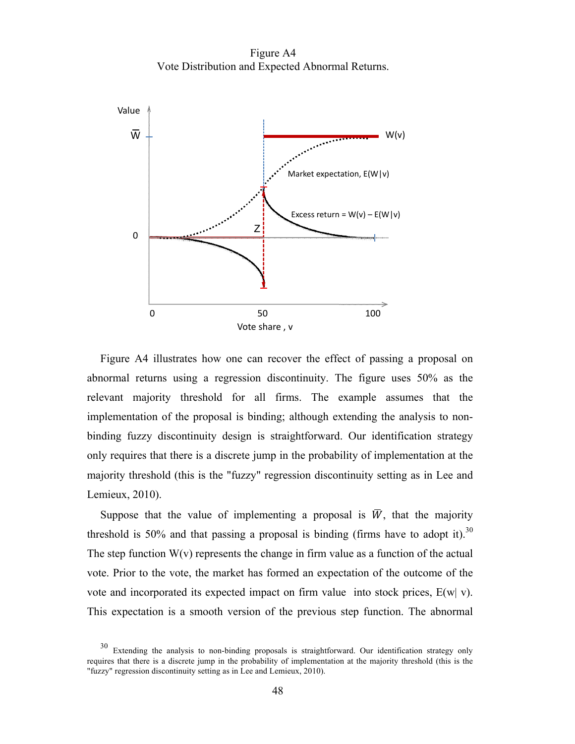Figure A4 Vote Distribution and Expected Abnormal Returns.



Figure A4 illustrates how one can recover the effect of passing a proposal on abnormal returns using a regression discontinuity. The figure uses 50% as the relevant majority threshold for all firms. The example assumes that the implementation of the proposal is binding; although extending the analysis to nonbinding fuzzy discontinuity design is straightforward. Our identification strategy only requires that there is a discrete jump in the probability of implementation at the majority threshold (this is the "fuzzy" regression discontinuity setting as in Lee and Lemieux, 2010).

Suppose that the value of implementing a proposal is  $\overline{W}$ , that the majority threshold is 50% and that passing a proposal is binding (firms have to adopt it).<sup>30</sup> The step function  $W(v)$  represents the change in firm value as a function of the actual vote. Prior to the vote, the market has formed an expectation of the outcome of the vote and incorporated its expected impact on firm value into stock prices,  $E(w|v)$ . This expectation is a smooth version of the previous step function. The abnormal

Extending the analysis to non-binding proposals is straightforward. Our identification strategy only requires that there is a discrete jump in the probability of implementation at the majority threshold (this is the "fuzzy" regression discontinuity setting as in Lee and Lemieux, 2010).